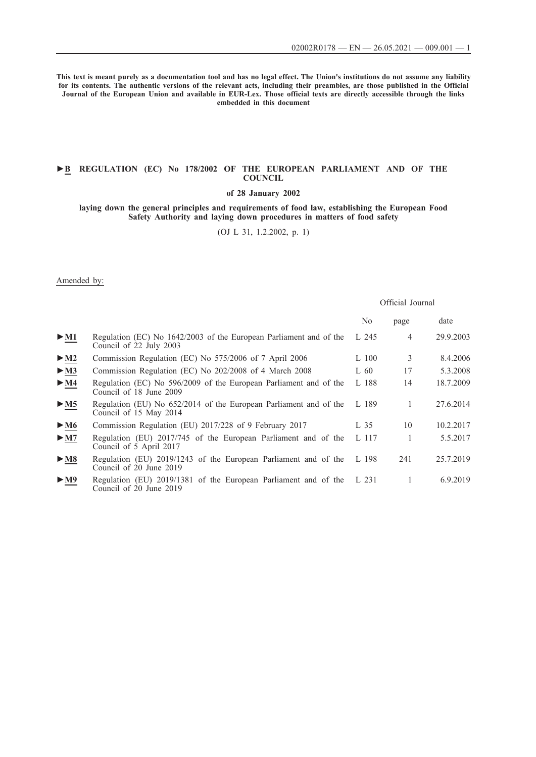**This text is meant purely as a documentation tool and has no legal effect. The Union's institutions do not assume any liability for its contents. The authentic versions of the relevant acts, including their preambles, are those published in the Official Journal of the European Union and available in EUR-Lex. Those official texts are directly accessible through the links embedded in this document**

### **►B [REGULATION \(EC\) No 178/2002 OF THE EUROPEAN PARLIAMENT AND OF THE](http://data.europa.eu/eli/reg/2002/178/oj/eng) [COUNCIL](http://data.europa.eu/eli/reg/2002/178/oj/eng)**

## **[of 28 January 2002](http://data.europa.eu/eli/reg/2002/178/oj/eng)**

**[laying down the general principles and requirements of food law, establishing the European Food](http://data.europa.eu/eli/reg/2002/178/oj/eng) [Safety Authority and laying down procedures in matters of food safety](http://data.europa.eu/eli/reg/2002/178/oj/eng)**

[\(OJ L 31, 1.2.2002, p. 1\)](http://data.europa.eu/eli/reg/2002/178/oj/eng)

Amended by:

|                          |                                                                                               | Official Journal |      |           |
|--------------------------|-----------------------------------------------------------------------------------------------|------------------|------|-----------|
|                          |                                                                                               | N <sub>0</sub>   | page | date      |
| $>$ M1                   | Regulation (EC) No 1642/2003 of the European Parliament and of the<br>Council of 22 July 2003 | L 245            | 4    | 29.9.2003 |
| $\blacktriangleright$ M2 | Commission Regulation (EC) No 575/2006 of 7 April 2006                                        | L 100            | 3    | 8.4.2006  |
| $\blacktriangleright$ M3 | Commission Regulation (EC) No 202/2008 of 4 March 2008                                        | L 60             | 17   | 5.3.2008  |
| > M4                     | Regulation (EC) No 596/2009 of the European Parliament and of the<br>Council of 18 June 2009  | L 188            | 14   | 18.7.2009 |
| > M5                     | Regulation (EU) No 652/2014 of the European Parliament and of the<br>Council of 15 May 2014   | L 189            | 1    | 27.6.2014 |
| $\blacktriangleright$ M6 | Commission Regulation (EU) 2017/228 of 9 February 2017                                        | L 35             | 10   | 10.2.2017 |
| $\blacktriangleright$ M7 | Regulation (EU) 2017/745 of the European Parliament and of the<br>Council of 5 April 2017     | L 117            |      | 5.5.2017  |
| $\blacktriangleright$ M8 | Regulation (EU) 2019/1243 of the European Parliament and of the<br>Council of 20 June 2019    | L 198            | 241  | 25.7.2019 |
| $\blacktriangleright$ M9 | Regulation (EU) 2019/1381 of the European Parliament and of the<br>Council of 20 June 2019    | L 231            |      | 6.9.2019  |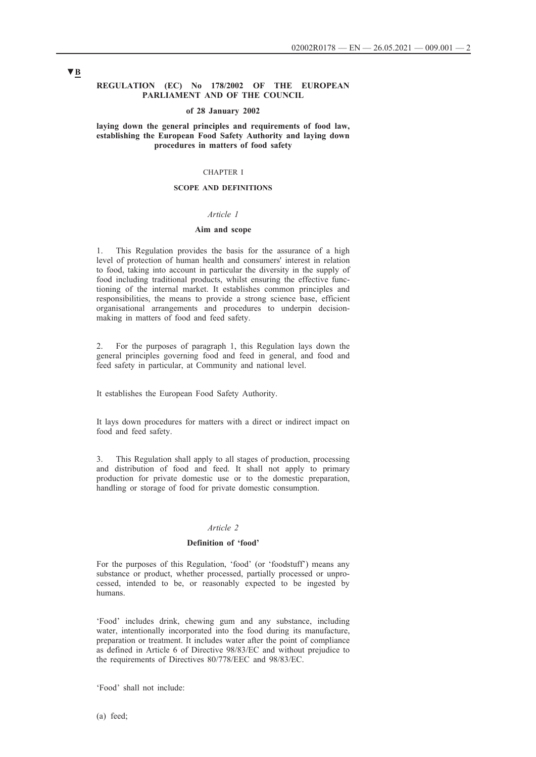### **REGULATION (EC) No 178/2002 OF THE EUROPEAN PARLIAMENT AND OF THE COUNCIL**

#### **of 28 January 2002**

**laying down the general principles and requirements of food law, establishing the European Food Safety Authority and laying down procedures in matters of food safety**

# CHAPTER I

## **SCOPE AND DEFINITIONS**

### *Article 1*

### **Aim and scope**

1. This Regulation provides the basis for the assurance of a high level of protection of human health and consumers' interest in relation to food, taking into account in particular the diversity in the supply of food including traditional products, whilst ensuring the effective functioning of the internal market. It establishes common principles and responsibilities, the means to provide a strong science base, efficient organisational arrangements and procedures to underpin decisionmaking in matters of food and feed safety.

2. For the purposes of paragraph 1, this Regulation lays down the general principles governing food and feed in general, and food and feed safety in particular, at Community and national level.

It establishes the European Food Safety Authority.

It lays down procedures for matters with a direct or indirect impact on food and feed safety.

3. This Regulation shall apply to all stages of production, processing and distribution of food and feed. It shall not apply to primary production for private domestic use or to the domestic preparation, handling or storage of food for private domestic consumption.

### *Article 2*

#### **Definition of 'food'**

For the purposes of this Regulation, 'food' (or 'foodstuff') means any substance or product, whether processed, partially processed or unprocessed, intended to be, or reasonably expected to be ingested by humans.

'Food' includes drink, chewing gum and any substance, including water, intentionally incorporated into the food during its manufacture, preparation or treatment. It includes water after the point of compliance as defined in Article 6 of Directive 98/83/EC and without prejudice to the requirements of Directives 80/778/EEC and 98/83/EC.

'Food' shall not include: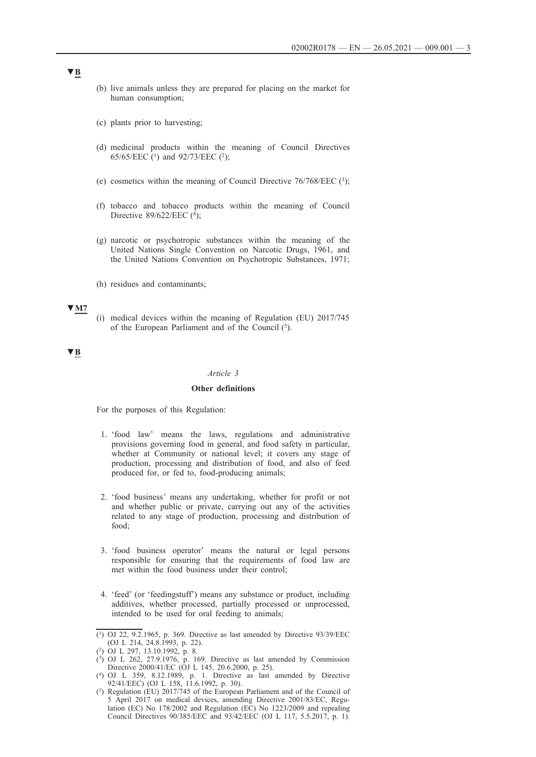- (b) live animals unless they are prepared for placing on the market for human consumption;
- (c) plants prior to harvesting;
- (d) medicinal products within the meaning of Council Directives 65/65/EEC (1) and 92/73/EEC (2);
- (e) cosmetics within the meaning of Council Directive  $76/768/EEC$  (3);
- (f) tobacco and tobacco products within the meaning of Council Directive  $89/622/EEC$  (<sup>4</sup>);
- (g) narcotic or psychotropic substances within the meaning of the United Nations Single Convention on Narcotic Drugs, 1961, and the United Nations Convention on Psychotropic Substances, 1971;
- (h) residues and contaminants;

### **▼M7**

(i) medical devices within the meaning of Regulation (EU) 2017/745 of the European Parliament and of the Council (5).

# **▼B**

### *Article 3*

## **Other definitions**

For the purposes of this Regulation:

- 1. 'food law' means the laws, regulations and administrative provisions governing food in general, and food safety in particular, whether at Community or national level; it covers any stage of production, processing and distribution of food, and also of feed produced for, or fed to, food-producing animals;
- 2. 'food business' means any undertaking, whether for profit or not and whether public or private, carrying out any of the activities related to any stage of production, processing and distribution of food;
- 3. 'food business operator' means the natural or legal persons responsible for ensuring that the requirements of food law are met within the food business under their control;
- 4. 'feed' (or 'feedingstuff') means any substance or product, including additives, whether processed, partially processed or unprocessed, intended to be used for oral feeding to animals;

 $(1)$  OJ 22, 9.2.1965, p. 369. Directive as last amended by Directive 93/39/EEC (OJ L 214, 24.8.1993, p. 22).

<sup>(2)</sup> OJ L 297, 13.10.1992, p. 8.

<sup>(3)</sup> OJ L 262, 27.9.1976, p. 169. Directive as last amended by Commission Directive 2000/41/EC (OJ L 145, 20.6.2000, p. 25).

<sup>(4)</sup> OJ L 359, 8.12.1989, p. 1. Directive as last amended by Directive 92/41/EEC) (OJ L 158, 11.6.1992, p. 30).

<sup>(5)</sup> Regulation (EU) 2017/745 of the European Parliament and of the Council of 5 April 2017 on medical devices, amending Directive 2001/83/EC, Regulation (EC) No 178/2002 and Regulation (EC) No 1223/2009 and repealing Council Directives 90/385/EEC and 93/42/EEC (OJ L 117, 5.5.2017, p. 1).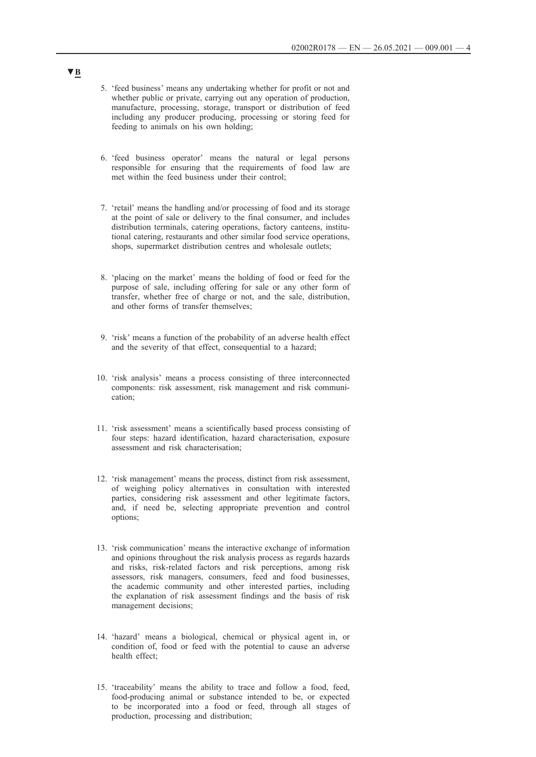- 5. 'feed business' means any undertaking whether for profit or not and whether public or private, carrying out any operation of production, manufacture, processing, storage, transport or distribution of feed including any producer producing, processing or storing feed for feeding to animals on his own holding;
- 6. 'feed business operator' means the natural or legal persons responsible for ensuring that the requirements of food law are met within the feed business under their control;
- 7. 'retail' means the handling and/or processing of food and its storage at the point of sale or delivery to the final consumer, and includes distribution terminals, catering operations, factory canteens, institutional catering, restaurants and other similar food service operations, shops, supermarket distribution centres and wholesale outlets;
- 8. 'placing on the market' means the holding of food or feed for the purpose of sale, including offering for sale or any other form of transfer, whether free of charge or not, and the sale, distribution, and other forms of transfer themselves;
- 9. 'risk' means a function of the probability of an adverse health effect and the severity of that effect, consequential to a hazard;
- 10. 'risk analysis' means a process consisting of three interconnected components: risk assessment, risk management and risk communication;
- 11. 'risk assessment' means a scientifically based process consisting of four steps: hazard identification, hazard characterisation, exposure assessment and risk characterisation;
- 12. 'risk management' means the process, distinct from risk assessment, of weighing policy alternatives in consultation with interested parties, considering risk assessment and other legitimate factors, and, if need be, selecting appropriate prevention and control options;
- 13. 'risk communication' means the interactive exchange of information and opinions throughout the risk analysis process as regards hazards and risks, risk-related factors and risk perceptions, among risk assessors, risk managers, consumers, feed and food businesses, the academic community and other interested parties, including the explanation of risk assessment findings and the basis of risk management decisions;
- 14. 'hazard' means a biological, chemical or physical agent in, or condition of, food or feed with the potential to cause an adverse health effect;
- 15. 'traceability' means the ability to trace and follow a food, feed, food-producing animal or substance intended to be, or expected to be incorporated into a food or feed, through all stages of production, processing and distribution;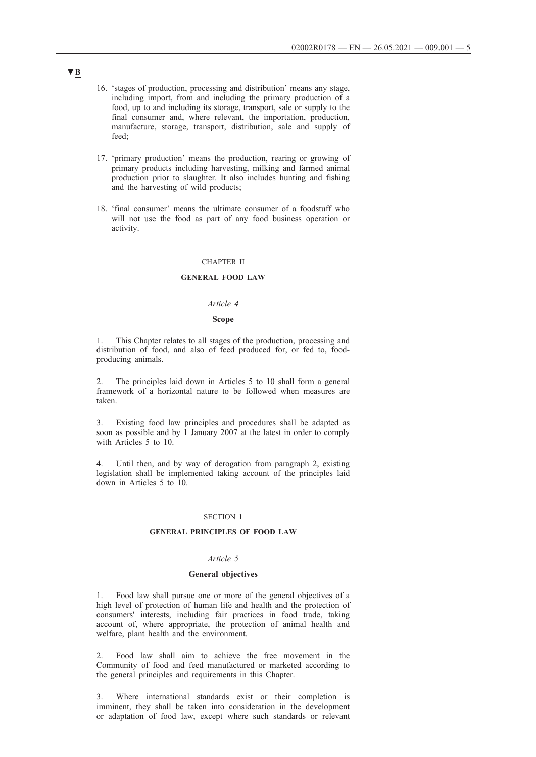- 16. 'stages of production, processing and distribution' means any stage, including import, from and including the primary production of a food, up to and including its storage, transport, sale or supply to the final consumer and, where relevant, the importation, production, manufacture, storage, transport, distribution, sale and supply of feed;
- 17. 'primary production' means the production, rearing or growing of primary products including harvesting, milking and farmed animal production prior to slaughter. It also includes hunting and fishing and the harvesting of wild products;
- 18. 'final consumer' means the ultimate consumer of a foodstuff who will not use the food as part of any food business operation or activity.

#### CHAPTER II

### **GENERAL FOOD LAW**

### *Article 4*

### **Scope**

1. This Chapter relates to all stages of the production, processing and distribution of food, and also of feed produced for, or fed to, foodproducing animals.

2. The principles laid down in Articles 5 to 10 shall form a general framework of a horizontal nature to be followed when measures are taken.

3. Existing food law principles and procedures shall be adapted as soon as possible and by 1 January 2007 at the latest in order to comply with Articles 5 to 10.

Until then, and by way of derogation from paragraph 2, existing legislation shall be implemented taking account of the principles laid down in Articles 5 to 10.

### SECTION 1

#### **GENERAL PRINCIPLES OF FOOD LAW**

## *Article 5*

### **General objectives**

1. Food law shall pursue one or more of the general objectives of a high level of protection of human life and health and the protection of consumers' interests, including fair practices in food trade, taking account of, where appropriate, the protection of animal health and welfare, plant health and the environment.

Food law shall aim to achieve the free movement in the Community of food and feed manufactured or marketed according to the general principles and requirements in this Chapter.

3. Where international standards exist or their completion is imminent, they shall be taken into consideration in the development or adaptation of food law, except where such standards or relevant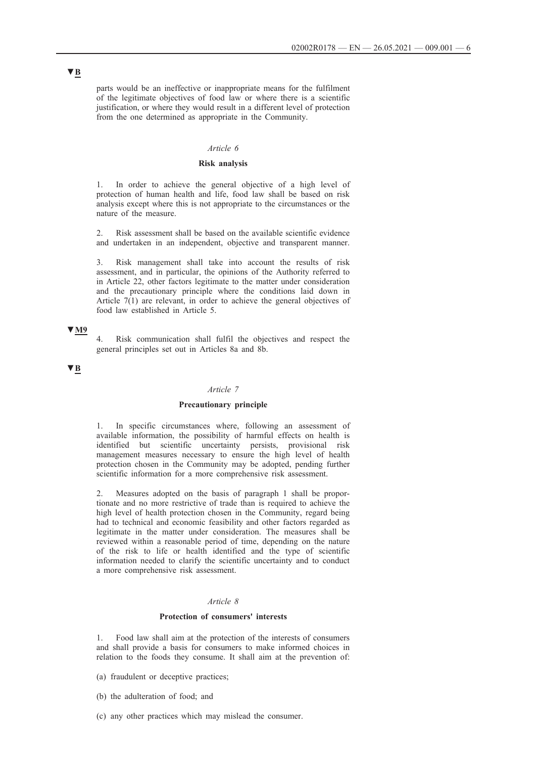parts would be an ineffective or inappropriate means for the fulfilment of the legitimate objectives of food law or where there is a scientific justification, or where they would result in a different level of protection from the one determined as appropriate in the Community.

### *Article 6*

## **Risk analysis**

In order to achieve the general objective of a high level of protection of human health and life, food law shall be based on risk analysis except where this is not appropriate to the circumstances or the nature of the measure.

2. Risk assessment shall be based on the available scientific evidence and undertaken in an independent, objective and transparent manner.

3. Risk management shall take into account the results of risk assessment, and in particular, the opinions of the Authority referred to in Article 22, other factors legitimate to the matter under consideration and the precautionary principle where the conditions laid down in Article 7(1) are relevant, in order to achieve the general objectives of food law established in Article 5.

## **▼M9**

4. Risk communication shall fulfil the objectives and respect the general principles set out in Articles 8a and 8b.

# **▼B**

## *Article 7*

#### **Precautionary principle**

1. In specific circumstances where, following an assessment of available information, the possibility of harmful effects on health is identified but scientific uncertainty persists, provisional risk management measures necessary to ensure the high level of health protection chosen in the Community may be adopted, pending further scientific information for a more comprehensive risk assessment.

2. Measures adopted on the basis of paragraph 1 shall be proportionate and no more restrictive of trade than is required to achieve the high level of health protection chosen in the Community, regard being had to technical and economic feasibility and other factors regarded as legitimate in the matter under consideration. The measures shall be reviewed within a reasonable period of time, depending on the nature of the risk to life or health identified and the type of scientific information needed to clarify the scientific uncertainty and to conduct a more comprehensive risk assessment.

### *Article 8*

## **Protection of consumers' interests**

1. Food law shall aim at the protection of the interests of consumers and shall provide a basis for consumers to make informed choices in relation to the foods they consume. It shall aim at the prevention of:

- (a) fraudulent or deceptive practices;
- (b) the adulteration of food; and
- (c) any other practices which may mislead the consumer.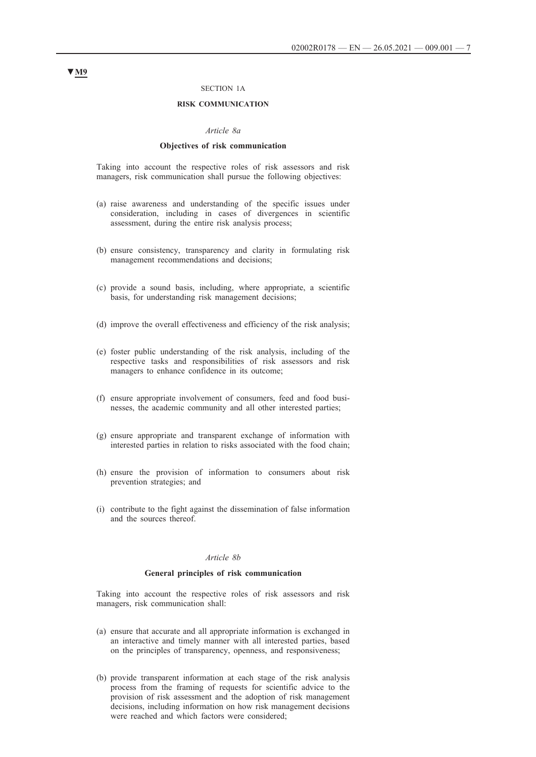### SECTION 1A

# **RISK COMMUNICATION**

#### *Article 8a*

### **Objectives of risk communication**

Taking into account the respective roles of risk assessors and risk managers, risk communication shall pursue the following objectives:

- (a) raise awareness and understanding of the specific issues under consideration, including in cases of divergences in scientific assessment, during the entire risk analysis process;
- (b) ensure consistency, transparency and clarity in formulating risk management recommendations and decisions;
- (c) provide a sound basis, including, where appropriate, a scientific basis, for understanding risk management decisions;
- (d) improve the overall effectiveness and efficiency of the risk analysis;
- (e) foster public understanding of the risk analysis, including of the respective tasks and responsibilities of risk assessors and risk managers to enhance confidence in its outcome;
- (f) ensure appropriate involvement of consumers, feed and food businesses, the academic community and all other interested parties;
- (g) ensure appropriate and transparent exchange of information with interested parties in relation to risks associated with the food chain;
- (h) ensure the provision of information to consumers about risk prevention strategies; and
- (i) contribute to the fight against the dissemination of false information and the sources thereof.

### *Article 8b*

#### **General principles of risk communication**

Taking into account the respective roles of risk assessors and risk managers, risk communication shall:

- (a) ensure that accurate and all appropriate information is exchanged in an interactive and timely manner with all interested parties, based on the principles of transparency, openness, and responsiveness;
- (b) provide transparent information at each stage of the risk analysis process from the framing of requests for scientific advice to the provision of risk assessment and the adoption of risk management decisions, including information on how risk management decisions were reached and which factors were considered;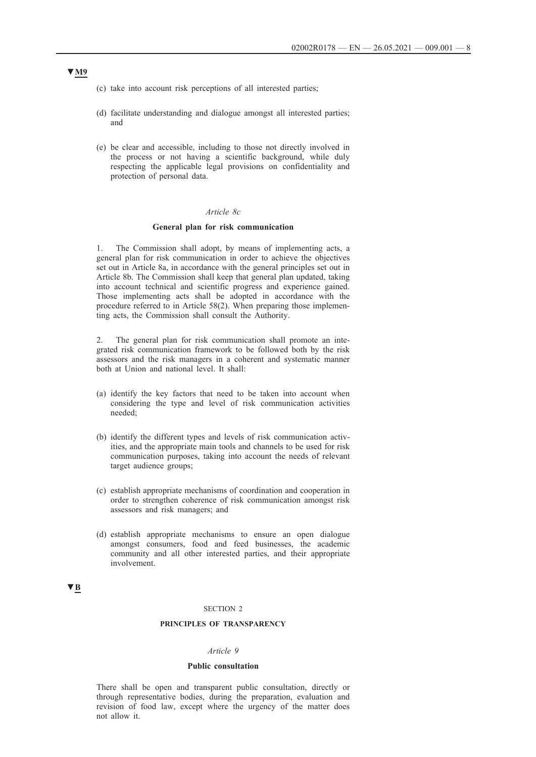- (c) take into account risk perceptions of all interested parties;
- (d) facilitate understanding and dialogue amongst all interested parties; and
- (e) be clear and accessible, including to those not directly involved in the process or not having a scientific background, while duly respecting the applicable legal provisions on confidentiality and protection of personal data.

# *Article 8c*

### **General plan for risk communication**

1. The Commission shall adopt, by means of implementing acts, a general plan for risk communication in order to achieve the objectives set out in Article 8a, in accordance with the general principles set out in Article 8b. The Commission shall keep that general plan updated, taking into account technical and scientific progress and experience gained. Those implementing acts shall be adopted in accordance with the procedure referred to in Article 58(2). When preparing those implementing acts, the Commission shall consult the Authority.

2. The general plan for risk communication shall promote an integrated risk communication framework to be followed both by the risk assessors and the risk managers in a coherent and systematic manner both at Union and national level. It shall:

- (a) identify the key factors that need to be taken into account when considering the type and level of risk communication activities needed;
- (b) identify the different types and levels of risk communication activities, and the appropriate main tools and channels to be used for risk communication purposes, taking into account the needs of relevant target audience groups;
- (c) establish appropriate mechanisms of coordination and cooperation in order to strengthen coherence of risk communication amongst risk assessors and risk managers; and
- (d) establish appropriate mechanisms to ensure an open dialogue amongst consumers, food and feed businesses, the academic community and all other interested parties, and their appropriate involvement.

# **▼B**

### SECTION 2

## **PRINCIPLES OF TRANSPARENCY**

### *Article 9*

### **Public consultation**

There shall be open and transparent public consultation, directly or through representative bodies, during the preparation, evaluation and revision of food law, except where the urgency of the matter does not allow it.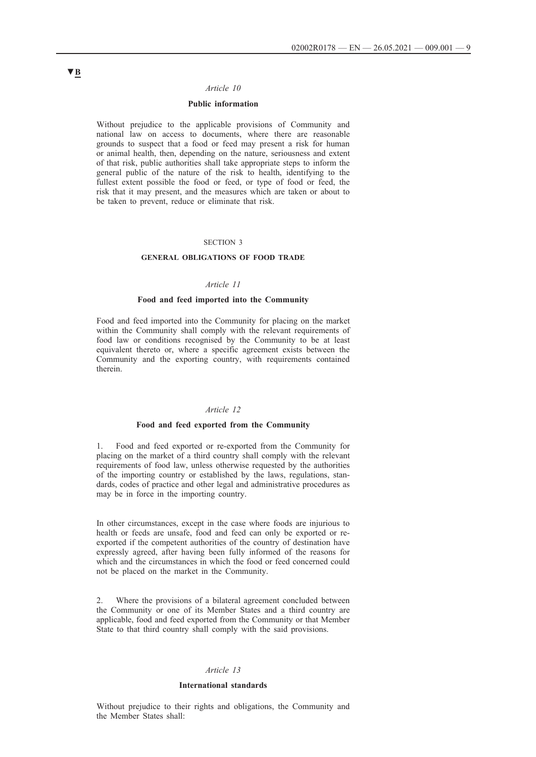## *Article 10*

# **Public information**

Without prejudice to the applicable provisions of Community and national law on access to documents, where there are reasonable grounds to suspect that a food or feed may present a risk for human or animal health, then, depending on the nature, seriousness and extent of that risk, public authorities shall take appropriate steps to inform the general public of the nature of the risk to health, identifying to the fullest extent possible the food or feed, or type of food or feed, the risk that it may present, and the measures which are taken or about to be taken to prevent, reduce or eliminate that risk.

### SECTION 3

### **GENERAL OBLIGATIONS OF FOOD TRADE**

#### *Article 11*

### **Food and feed imported into the Community**

Food and feed imported into the Community for placing on the market within the Community shall comply with the relevant requirements of food law or conditions recognised by the Community to be at least equivalent thereto or, where a specific agreement exists between the Community and the exporting country, with requirements contained therein.

## *Article 12*

### **Food and feed exported from the Community**

1. Food and feed exported or re-exported from the Community for placing on the market of a third country shall comply with the relevant requirements of food law, unless otherwise requested by the authorities of the importing country or established by the laws, regulations, standards, codes of practice and other legal and administrative procedures as may be in force in the importing country.

In other circumstances, except in the case where foods are injurious to health or feeds are unsafe, food and feed can only be exported or reexported if the competent authorities of the country of destination have expressly agreed, after having been fully informed of the reasons for which and the circumstances in which the food or feed concerned could not be placed on the market in the Community.

2. Where the provisions of a bilateral agreement concluded between the Community or one of its Member States and a third country are applicable, food and feed exported from the Community or that Member State to that third country shall comply with the said provisions.

## *Article 13*

#### **International standards**

Without prejudice to their rights and obligations, the Community and the Member States shall: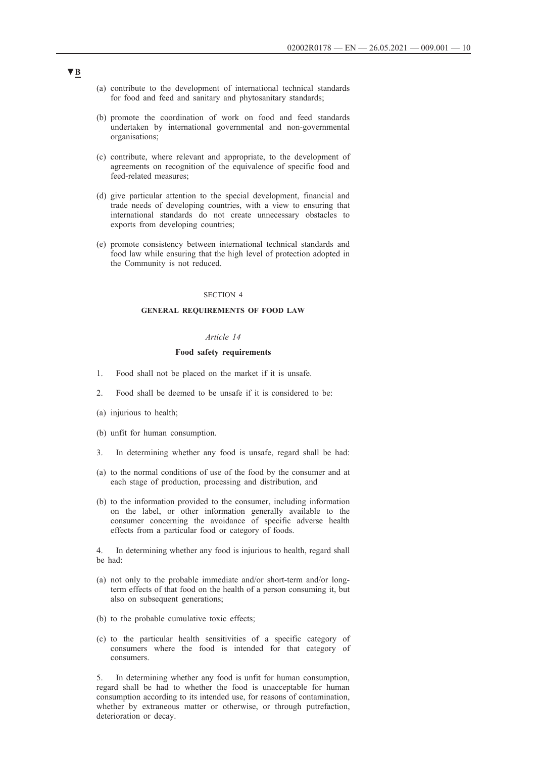- (a) contribute to the development of international technical standards for food and feed and sanitary and phytosanitary standards;
- (b) promote the coordination of work on food and feed standards undertaken by international governmental and non-governmental organisations;
- (c) contribute, where relevant and appropriate, to the development of agreements on recognition of the equivalence of specific food and feed-related measures;
- (d) give particular attention to the special development, financial and trade needs of developing countries, with a view to ensuring that international standards do not create unnecessary obstacles to exports from developing countries;
- (e) promote consistency between international technical standards and food law while ensuring that the high level of protection adopted in the Community is not reduced.

#### SECTION 4

### **GENERAL REQUIREMENTS OF FOOD LAW**

### *Article 14*

# **Food safety requirements**

- 1. Food shall not be placed on the market if it is unsafe.
- 2. Food shall be deemed to be unsafe if it is considered to be:
- (a) injurious to health;
- (b) unfit for human consumption.
- 3. In determining whether any food is unsafe, regard shall be had:
- (a) to the normal conditions of use of the food by the consumer and at each stage of production, processing and distribution, and
- (b) to the information provided to the consumer, including information on the label, or other information generally available to the consumer concerning the avoidance of specific adverse health effects from a particular food or category of foods.

4. In determining whether any food is injurious to health, regard shall be had:

- (a) not only to the probable immediate and/or short-term and/or longterm effects of that food on the health of a person consuming it, but also on subsequent generations;
- (b) to the probable cumulative toxic effects;
- (c) to the particular health sensitivities of a specific category of consumers where the food is intended for that category of consumers.

5. In determining whether any food is unfit for human consumption, regard shall be had to whether the food is unacceptable for human consumption according to its intended use, for reasons of contamination, whether by extraneous matter or otherwise, or through putrefaction, deterioration or decay.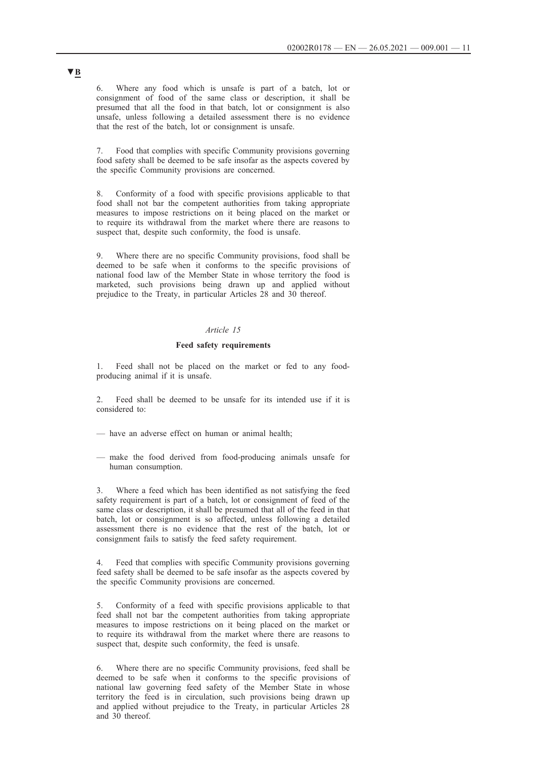6. Where any food which is unsafe is part of a batch, lot or consignment of food of the same class or description, it shall be presumed that all the food in that batch, lot or consignment is also unsafe, unless following a detailed assessment there is no evidence that the rest of the batch, lot or consignment is unsafe.

7. Food that complies with specific Community provisions governing food safety shall be deemed to be safe insofar as the aspects covered by the specific Community provisions are concerned.

8. Conformity of a food with specific provisions applicable to that food shall not bar the competent authorities from taking appropriate measures to impose restrictions on it being placed on the market or to require its withdrawal from the market where there are reasons to suspect that, despite such conformity, the food is unsafe.

9. Where there are no specific Community provisions, food shall be deemed to be safe when it conforms to the specific provisions of national food law of the Member State in whose territory the food is marketed, such provisions being drawn up and applied without prejudice to the Treaty, in particular Articles 28 and 30 thereof.

# *Article 15*

#### **Feed safety requirements**

1. Feed shall not be placed on the market or fed to any foodproducing animal if it is unsafe.

2. Feed shall be deemed to be unsafe for its intended use if it is considered to:

- have an adverse effect on human or animal health;
- make the food derived from food-producing animals unsafe for human consumption.

3. Where a feed which has been identified as not satisfying the feed safety requirement is part of a batch, lot or consignment of feed of the same class or description, it shall be presumed that all of the feed in that batch, lot or consignment is so affected, unless following a detailed assessment there is no evidence that the rest of the batch, lot or consignment fails to satisfy the feed safety requirement.

Feed that complies with specific Community provisions governing feed safety shall be deemed to be safe insofar as the aspects covered by the specific Community provisions are concerned.

5. Conformity of a feed with specific provisions applicable to that feed shall not bar the competent authorities from taking appropriate measures to impose restrictions on it being placed on the market or to require its withdrawal from the market where there are reasons to suspect that, despite such conformity, the feed is unsafe.

6. Where there are no specific Community provisions, feed shall be deemed to be safe when it conforms to the specific provisions of national law governing feed safety of the Member State in whose territory the feed is in circulation, such provisions being drawn up and applied without prejudice to the Treaty, in particular Articles 28 and 30 thereof.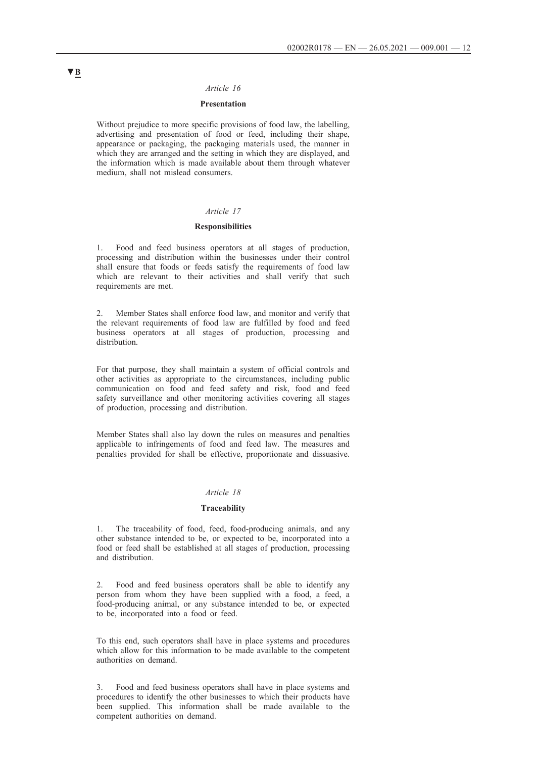## *Article 16*

# **Presentation**

Without prejudice to more specific provisions of food law, the labelling, advertising and presentation of food or feed, including their shape, appearance or packaging, the packaging materials used, the manner in which they are arranged and the setting in which they are displayed, and the information which is made available about them through whatever medium, shall not mislead consumers.

# *Article 17*

### **Responsibilities**

1. Food and feed business operators at all stages of production, processing and distribution within the businesses under their control shall ensure that foods or feeds satisfy the requirements of food law which are relevant to their activities and shall verify that such requirements are met.

2. Member States shall enforce food law, and monitor and verify that the relevant requirements of food law are fulfilled by food and feed business operators at all stages of production, processing and distribution.

For that purpose, they shall maintain a system of official controls and other activities as appropriate to the circumstances, including public communication on food and feed safety and risk, food and feed safety surveillance and other monitoring activities covering all stages of production, processing and distribution.

Member States shall also lay down the rules on measures and penalties applicable to infringements of food and feed law. The measures and penalties provided for shall be effective, proportionate and dissuasive.

# *Article 18*

### **Traceability**

1. The traceability of food, feed, food-producing animals, and any other substance intended to be, or expected to be, incorporated into a food or feed shall be established at all stages of production, processing and distribution.

2. Food and feed business operators shall be able to identify any person from whom they have been supplied with a food, a feed, a food-producing animal, or any substance intended to be, or expected to be, incorporated into a food or feed.

To this end, such operators shall have in place systems and procedures which allow for this information to be made available to the competent authorities on demand.

3. Food and feed business operators shall have in place systems and procedures to identify the other businesses to which their products have been supplied. This information shall be made available to the competent authorities on demand.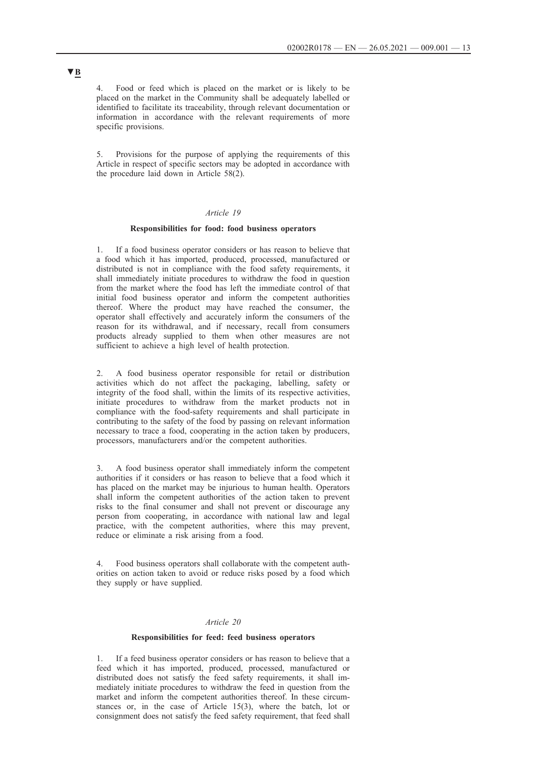4. Food or feed which is placed on the market or is likely to be placed on the market in the Community shall be adequately labelled or identified to facilitate its traceability, through relevant documentation or information in accordance with the relevant requirements of more specific provisions.

5. Provisions for the purpose of applying the requirements of this Article in respect of specific sectors may be adopted in accordance with the procedure laid down in Article 58(2).

# *Article 19*

#### **Responsibilities for food: food business operators**

1. If a food business operator considers or has reason to believe that a food which it has imported, produced, processed, manufactured or distributed is not in compliance with the food safety requirements, it shall immediately initiate procedures to withdraw the food in question from the market where the food has left the immediate control of that initial food business operator and inform the competent authorities thereof. Where the product may have reached the consumer, the operator shall effectively and accurately inform the consumers of the reason for its withdrawal, and if necessary, recall from consumers products already supplied to them when other measures are not sufficient to achieve a high level of health protection.

2. A food business operator responsible for retail or distribution activities which do not affect the packaging, labelling, safety or integrity of the food shall, within the limits of its respective activities, initiate procedures to withdraw from the market products not in compliance with the food-safety requirements and shall participate in contributing to the safety of the food by passing on relevant information necessary to trace a food, cooperating in the action taken by producers, processors, manufacturers and/or the competent authorities.

3. A food business operator shall immediately inform the competent authorities if it considers or has reason to believe that a food which it has placed on the market may be injurious to human health. Operators shall inform the competent authorities of the action taken to prevent risks to the final consumer and shall not prevent or discourage any person from cooperating, in accordance with national law and legal practice, with the competent authorities, where this may prevent, reduce or eliminate a risk arising from a food.

4. Food business operators shall collaborate with the competent authorities on action taken to avoid or reduce risks posed by a food which they supply or have supplied.

### *Article 20*

### **Responsibilities for feed: feed business operators**

If a feed business operator considers or has reason to believe that a feed which it has imported, produced, processed, manufactured or distributed does not satisfy the feed safety requirements, it shall immediately initiate procedures to withdraw the feed in question from the market and inform the competent authorities thereof. In these circumstances or, in the case of Article 15(3), where the batch, lot or consignment does not satisfy the feed safety requirement, that feed shall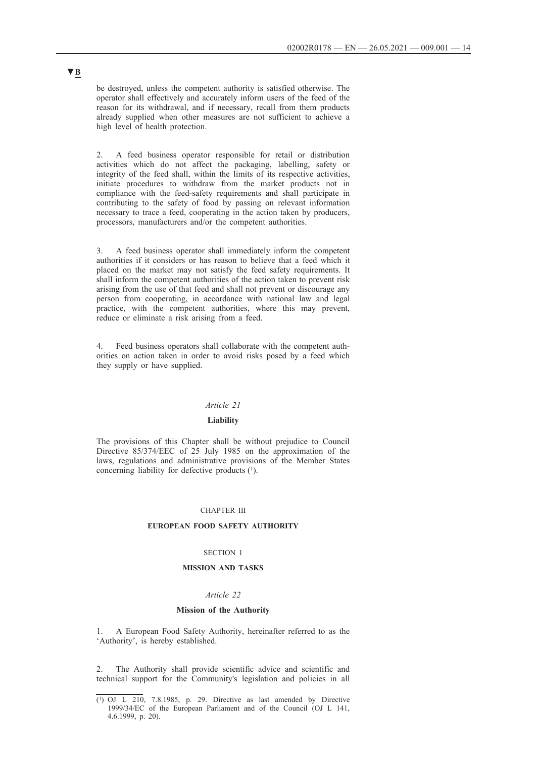be destroyed, unless the competent authority is satisfied otherwise. The operator shall effectively and accurately inform users of the feed of the reason for its withdrawal, and if necessary, recall from them products already supplied when other measures are not sufficient to achieve a high level of health protection.

2. A feed business operator responsible for retail or distribution activities which do not affect the packaging, labelling, safety or integrity of the feed shall, within the limits of its respective activities, initiate procedures to withdraw from the market products not in compliance with the feed-safety requirements and shall participate in contributing to the safety of food by passing on relevant information necessary to trace a feed, cooperating in the action taken by producers, processors, manufacturers and/or the competent authorities.

3. A feed business operator shall immediately inform the competent authorities if it considers or has reason to believe that a feed which it placed on the market may not satisfy the feed safety requirements. It shall inform the competent authorities of the action taken to prevent risk arising from the use of that feed and shall not prevent or discourage any person from cooperating, in accordance with national law and legal practice, with the competent authorities, where this may prevent, reduce or eliminate a risk arising from a feed.

4. Feed business operators shall collaborate with the competent authorities on action taken in order to avoid risks posed by a feed which they supply or have supplied.

### *Article 21*

### **Liability**

The provisions of this Chapter shall be without prejudice to Council Directive 85/374/EEC of 25 July 1985 on the approximation of the laws, regulations and administrative provisions of the Member States concerning liability for defective products (1).

### CHAPTER III

## **EUROPEAN FOOD SAFETY AUTHORITY**

### SECTION 1

# **MISSION AND TASKS**

## *Article 22*

### **Mission of the Authority**

1. A European Food Safety Authority, hereinafter referred to as the 'Authority', is hereby established.

2. The Authority shall provide scientific advice and scientific and technical support for the Community's legislation and policies in all

<sup>(1)</sup> OJ L 210, 7.8.1985, p. 29. Directive as last amended by Directive 1999/34/EC of the European Parliament and of the Council (OJ L 141, 4.6.1999, p. 20).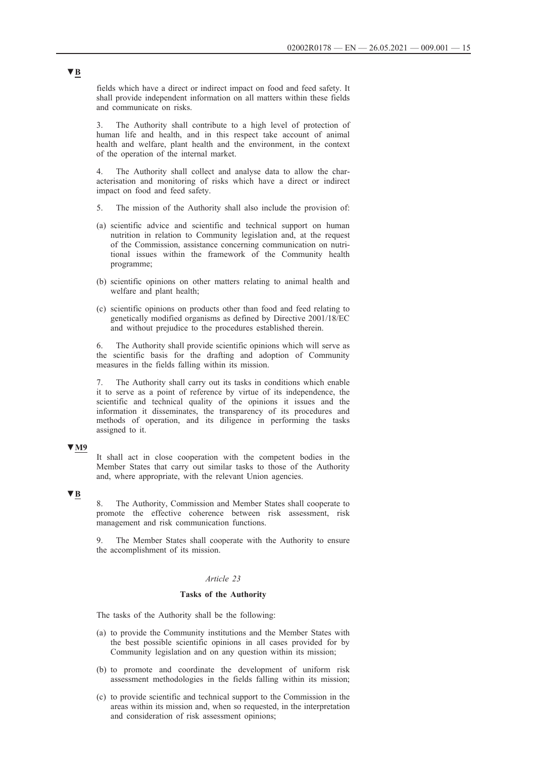fields which have a direct or indirect impact on food and feed safety. It shall provide independent information on all matters within these fields and communicate on risks.

3. The Authority shall contribute to a high level of protection of human life and health, and in this respect take account of animal health and welfare, plant health and the environment, in the context of the operation of the internal market.

The Authority shall collect and analyse data to allow the characterisation and monitoring of risks which have a direct or indirect impact on food and feed safety.

- 5. The mission of the Authority shall also include the provision of:
- (a) scientific advice and scientific and technical support on human nutrition in relation to Community legislation and, at the request of the Commission, assistance concerning communication on nutritional issues within the framework of the Community health programme;
- (b) scientific opinions on other matters relating to animal health and welfare and plant health;
- (c) scientific opinions on products other than food and feed relating to genetically modified organisms as defined by Directive 2001/18/EC and without prejudice to the procedures established therein.

6. The Authority shall provide scientific opinions which will serve as the scientific basis for the drafting and adoption of Community measures in the fields falling within its mission.

7. The Authority shall carry out its tasks in conditions which enable it to serve as a point of reference by virtue of its independence, the scientific and technical quality of the opinions it issues and the information it disseminates, the transparency of its procedures and methods of operation, and its diligence in performing the tasks assigned to it.

# **▼M9**

It shall act in close cooperation with the competent bodies in the Member States that carry out similar tasks to those of the Authority and, where appropriate, with the relevant Union agencies.

# **▼B**

8. The Authority, Commission and Member States shall cooperate to promote the effective coherence between risk assessment, risk management and risk communication functions.

9. The Member States shall cooperate with the Authority to ensure the accomplishment of its mission.

## *Article 23*

### **Tasks of the Authority**

The tasks of the Authority shall be the following:

- (a) to provide the Community institutions and the Member States with the best possible scientific opinions in all cases provided for by Community legislation and on any question within its mission;
- (b) to promote and coordinate the development of uniform risk assessment methodologies in the fields falling within its mission;
- (c) to provide scientific and technical support to the Commission in the areas within its mission and, when so requested, in the interpretation and consideration of risk assessment opinions;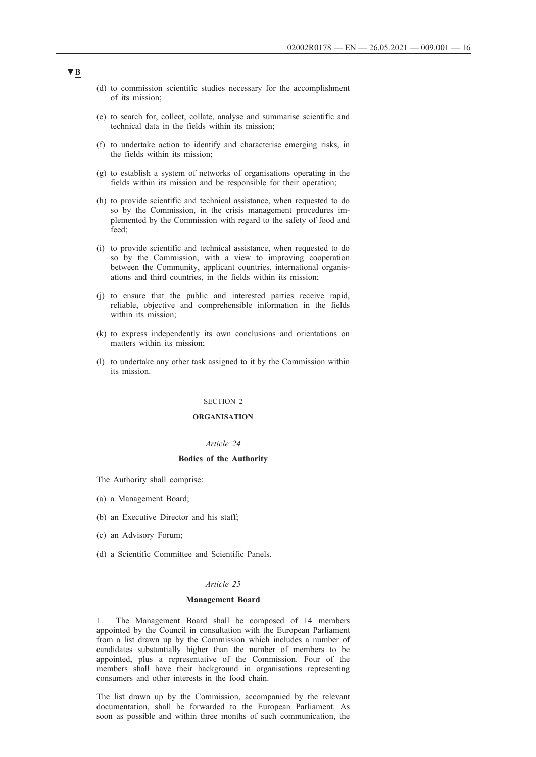- (d) to commission scientific studies necessary for the accomplishment of its mission;
- (e) to search for, collect, collate, analyse and summarise scientific and technical data in the fields within its mission;
- (f) to undertake action to identify and characterise emerging risks, in the fields within its mission;
- (g) to establish a system of networks of organisations operating in the fields within its mission and be responsible for their operation;
- (h) to provide scientific and technical assistance, when requested to do so by the Commission, in the crisis management procedures implemented by the Commission with regard to the safety of food and feed;
- (i) to provide scientific and technical assistance, when requested to do so by the Commission, with a view to improving cooperation between the Community, applicant countries, international organisations and third countries, in the fields within its mission;
- (j) to ensure that the public and interested parties receive rapid, reliable, objective and comprehensible information in the fields within its mission;
- (k) to express independently its own conclusions and orientations on matters within its mission;
- (l) to undertake any other task assigned to it by the Commission within its mission.

## SECTION 2

## **ORGANISATION**

### *Article 24*

## **Bodies of the Authority**

The Authority shall comprise:

- (a) a Management Board;
- (b) an Executive Director and his staff;
- (c) an Advisory Forum;
- (d) a Scientific Committee and Scientific Panels.

### *Article 25*

#### **Management Board**

1. The Management Board shall be composed of 14 members appointed by the Council in consultation with the European Parliament from a list drawn up by the Commission which includes a number of candidates substantially higher than the number of members to be appointed, plus a representative of the Commission. Four of the members shall have their background in organisations representing consumers and other interests in the food chain.

The list drawn up by the Commission, accompanied by the relevant documentation, shall be forwarded to the European Parliament. As soon as possible and within three months of such communication, the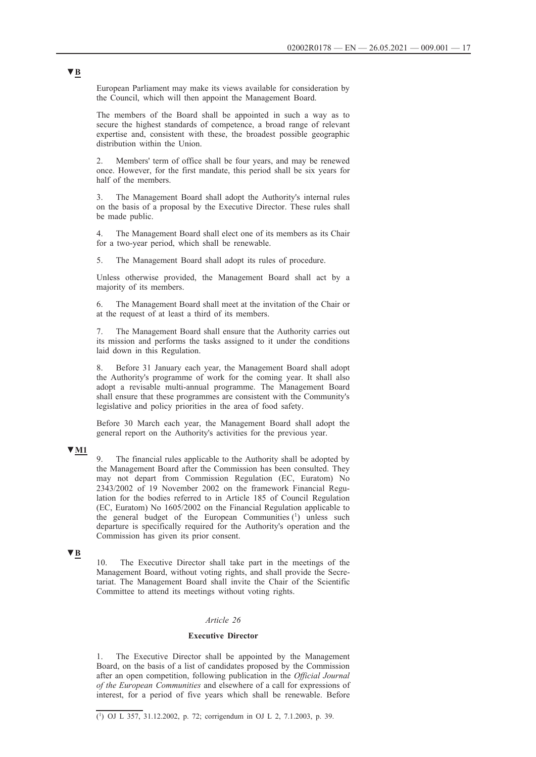European Parliament may make its views available for consideration by the Council, which will then appoint the Management Board.

The members of the Board shall be appointed in such a way as to secure the highest standards of competence, a broad range of relevant expertise and, consistent with these, the broadest possible geographic distribution within the Union.

Members' term of office shall be four years, and may be renewed once. However, for the first mandate, this period shall be six years for half of the members.

3. The Management Board shall adopt the Authority's internal rules on the basis of a proposal by the Executive Director. These rules shall be made public.

4. The Management Board shall elect one of its members as its Chair for a two-year period, which shall be renewable.

5. The Management Board shall adopt its rules of procedure.

Unless otherwise provided, the Management Board shall act by a majority of its members.

6. The Management Board shall meet at the invitation of the Chair or at the request of at least a third of its members.

7. The Management Board shall ensure that the Authority carries out its mission and performs the tasks assigned to it under the conditions laid down in this Regulation.

8. Before 31 January each year, the Management Board shall adopt the Authority's programme of work for the coming year. It shall also adopt a revisable multi-annual programme. The Management Board shall ensure that these programmes are consistent with the Community's legislative and policy priorities in the area of food safety.

Before 30 March each year, the Management Board shall adopt the general report on the Authority's activities for the previous year.

# **▼M1**

9. The financial rules applicable to the Authority shall be adopted by the Management Board after the Commission has been consulted. They may not depart from Commission Regulation (EC, Euratom) No 2343/2002 of 19 November 2002 on the framework Financial Regulation for the bodies referred to in Article 185 of Council Regulation (EC, Euratom) No 1605/2002 on the Financial Regulation applicable to the general budget of the European Communities (1) unless such departure is specifically required for the Authority's operation and the Commission has given its prior consent.

## **▼B**

10. The Executive Director shall take part in the meetings of the Management Board, without voting rights, and shall provide the Secretariat. The Management Board shall invite the Chair of the Scientific Committee to attend its meetings without voting rights.

### *Article 26*

## **Executive Director**

1. The Executive Director shall be appointed by the Management Board, on the basis of a list of candidates proposed by the Commission after an open competition, following publication in the *Official Journal of the European Communities* and elsewhere of a call for expressions of interest, for a period of five years which shall be renewable. Before

<sup>(1)</sup> OJ L 357, 31.12.2002, p. 72; corrigendum in OJ L 2, 7.1.2003, p. 39.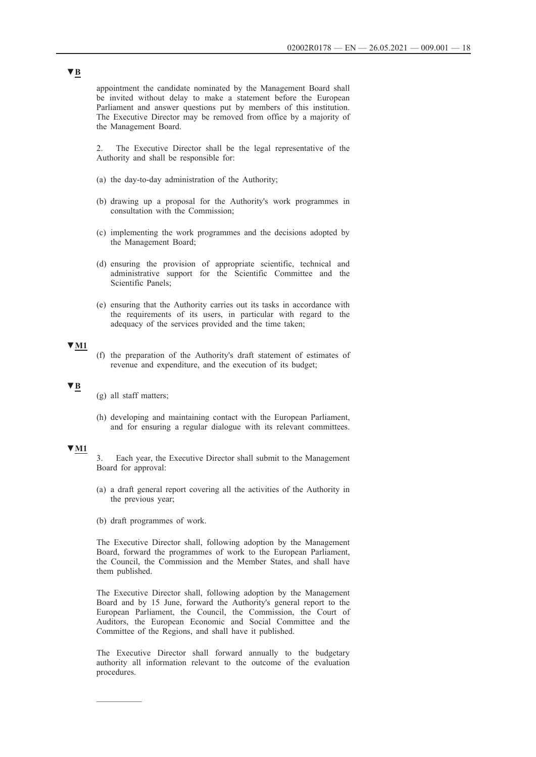appointment the candidate nominated by the Management Board shall be invited without delay to make a statement before the European Parliament and answer questions put by members of this institution. The Executive Director may be removed from office by a majority of the Management Board.

2. The Executive Director shall be the legal representative of the Authority and shall be responsible for:

- (a) the day-to-day administration of the Authority;
- (b) drawing up a proposal for the Authority's work programmes in consultation with the Commission;
- (c) implementing the work programmes and the decisions adopted by the Management Board;
- (d) ensuring the provision of appropriate scientific, technical and administrative support for the Scientific Committee and the Scientific Panels;
- (e) ensuring that the Authority carries out its tasks in accordance with the requirements of its users, in particular with regard to the adequacy of the services provided and the time taken;

### **▼M1**

(f) the preparation of the Authority's draft statement of estimates of revenue and expenditure, and the execution of its budget;

### **▼B**

- (g) all staff matters;
- (h) developing and maintaining contact with the European Parliament, and for ensuring a regular dialogue with its relevant committees.

## **▼M1**

3. Each year, the Executive Director shall submit to the Management Board for approval:

- (a) a draft general report covering all the activities of the Authority in the previous year;
- (b) draft programmes of work.

The Executive Director shall, following adoption by the Management Board, forward the programmes of work to the European Parliament, the Council, the Commission and the Member States, and shall have them published.

The Executive Director shall, following adoption by the Management Board and by 15 June, forward the Authority's general report to the European Parliament, the Council, the Commission, the Court of Auditors, the European Economic and Social Committee and the Committee of the Regions, and shall have it published.

The Executive Director shall forward annually to the budgetary authority all information relevant to the outcome of the evaluation procedures.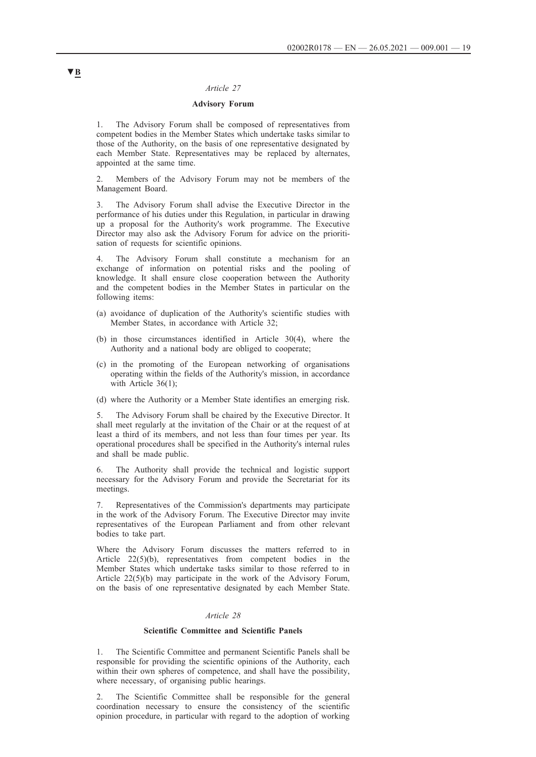### *Article 27*

# **Advisory Forum**

The Advisory Forum shall be composed of representatives from competent bodies in the Member States which undertake tasks similar to those of the Authority, on the basis of one representative designated by each Member State. Representatives may be replaced by alternates, appointed at the same time.

2. Members of the Advisory Forum may not be members of the Management Board.

3. The Advisory Forum shall advise the Executive Director in the performance of his duties under this Regulation, in particular in drawing up a proposal for the Authority's work programme. The Executive Director may also ask the Advisory Forum for advice on the prioritisation of requests for scientific opinions.

4. The Advisory Forum shall constitute a mechanism for an exchange of information on potential risks and the pooling of knowledge. It shall ensure close cooperation between the Authority and the competent bodies in the Member States in particular on the following items:

- (a) avoidance of duplication of the Authority's scientific studies with Member States, in accordance with Article 32;
- (b) in those circumstances identified in Article 30(4), where the Authority and a national body are obliged to cooperate;
- (c) in the promoting of the European networking of organisations operating within the fields of the Authority's mission, in accordance with Article 36(1);
- (d) where the Authority or a Member State identifies an emerging risk.

5. The Advisory Forum shall be chaired by the Executive Director. It shall meet regularly at the invitation of the Chair or at the request of at least a third of its members, and not less than four times per year. Its operational procedures shall be specified in the Authority's internal rules and shall be made public.

6. The Authority shall provide the technical and logistic support necessary for the Advisory Forum and provide the Secretariat for its meetings.

7. Representatives of the Commission's departments may participate in the work of the Advisory Forum. The Executive Director may invite representatives of the European Parliament and from other relevant bodies to take part.

Where the Advisory Forum discusses the matters referred to in Article 22(5)(b), representatives from competent bodies in the Member States which undertake tasks similar to those referred to in Article 22(5)(b) may participate in the work of the Advisory Forum, on the basis of one representative designated by each Member State.

#### *Article 28*

#### **Scientific Committee and Scientific Panels**

1. The Scientific Committee and permanent Scientific Panels shall be responsible for providing the scientific opinions of the Authority, each within their own spheres of competence, and shall have the possibility, where necessary, of organising public hearings.

2. The Scientific Committee shall be responsible for the general coordination necessary to ensure the consistency of the scientific opinion procedure, in particular with regard to the adoption of working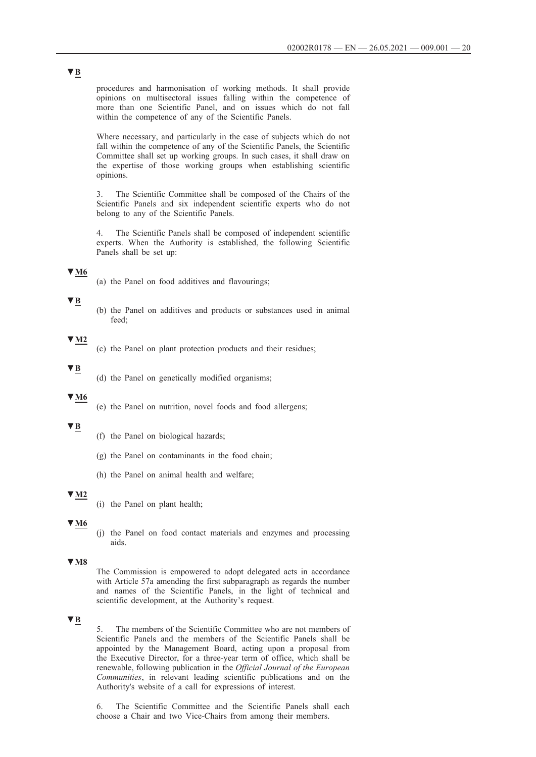procedures and harmonisation of working methods. It shall provide opinions on multisectoral issues falling within the competence of more than one Scientific Panel, and on issues which do not fall within the competence of any of the Scientific Panels.

Where necessary, and particularly in the case of subjects which do not fall within the competence of any of the Scientific Panels, the Scientific Committee shall set up working groups. In such cases, it shall draw on the expertise of those working groups when establishing scientific opinions.

3. The Scientific Committee shall be composed of the Chairs of the Scientific Panels and six independent scientific experts who do not belong to any of the Scientific Panels.

4. The Scientific Panels shall be composed of independent scientific experts. When the Authority is established, the following Scientific Panels shall be set up:

## **▼M6**

(a) the Panel on food additives and flavourings;

# **▼B**

(b) the Panel on additives and products or substances used in animal feed;

### **▼M2**

(c) the Panel on plant protection products and their residues;

## **▼B**

(d) the Panel on genetically modified organisms;

# **▼M6**

(e) the Panel on nutrition, novel foods and food allergens;

## **▼B**

- (f) the Panel on biological hazards;
- (g) the Panel on contaminants in the food chain;
- (h) the Panel on animal health and welfare;

### **▼M2**

(i) the Panel on plant health;

### **▼M6**

(j) the Panel on food contact materials and enzymes and processing aids.

### **▼M8**

The Commission is empowered to adopt delegated acts in accordance with Article 57a amending the first subparagraph as regards the number and names of the Scientific Panels, in the light of technical and scientific development, at the Authority's request.

# **▼B**

5. The members of the Scientific Committee who are not members of Scientific Panels and the members of the Scientific Panels shall be appointed by the Management Board, acting upon a proposal from the Executive Director, for a three-year term of office, which shall be renewable, following publication in the *Official Journal of the European Communities*, in relevant leading scientific publications and on the Authority's website of a call for expressions of interest.

6. The Scientific Committee and the Scientific Panels shall each choose a Chair and two Vice-Chairs from among their members.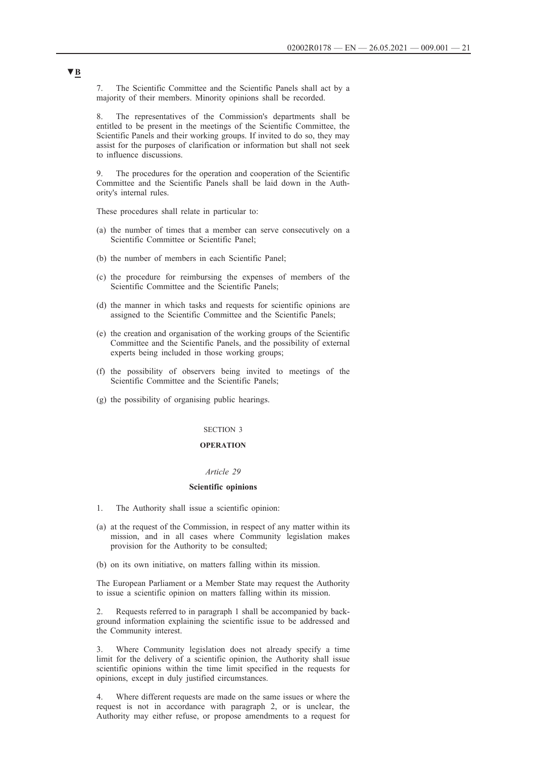7. The Scientific Committee and the Scientific Panels shall act by a majority of their members. Minority opinions shall be recorded.

8. The representatives of the Commission's departments shall be entitled to be present in the meetings of the Scientific Committee, the Scientific Panels and their working groups. If invited to do so, they may assist for the purposes of clarification or information but shall not seek to influence discussions.

9. The procedures for the operation and cooperation of the Scientific Committee and the Scientific Panels shall be laid down in the Authority's internal rules.

These procedures shall relate in particular to:

- (a) the number of times that a member can serve consecutively on a Scientific Committee or Scientific Panel;
- (b) the number of members in each Scientific Panel;
- (c) the procedure for reimbursing the expenses of members of the Scientific Committee and the Scientific Panels;
- (d) the manner in which tasks and requests for scientific opinions are assigned to the Scientific Committee and the Scientific Panels;
- (e) the creation and organisation of the working groups of the Scientific Committee and the Scientific Panels, and the possibility of external experts being included in those working groups;
- (f) the possibility of observers being invited to meetings of the Scientific Committee and the Scientific Panels;
- (g) the possibility of organising public hearings.

## SECTION 3

# **OPERATION**

### *Article 29*

### **Scientific opinions**

- 1. The Authority shall issue a scientific opinion:
- (a) at the request of the Commission, in respect of any matter within its mission, and in all cases where Community legislation makes provision for the Authority to be consulted;
- (b) on its own initiative, on matters falling within its mission.

The European Parliament or a Member State may request the Authority to issue a scientific opinion on matters falling within its mission.

2. Requests referred to in paragraph 1 shall be accompanied by background information explaining the scientific issue to be addressed and the Community interest.

3. Where Community legislation does not already specify a time limit for the delivery of a scientific opinion, the Authority shall issue scientific opinions within the time limit specified in the requests for opinions, except in duly justified circumstances.

4. Where different requests are made on the same issues or where the request is not in accordance with paragraph 2, or is unclear, the Authority may either refuse, or propose amendments to a request for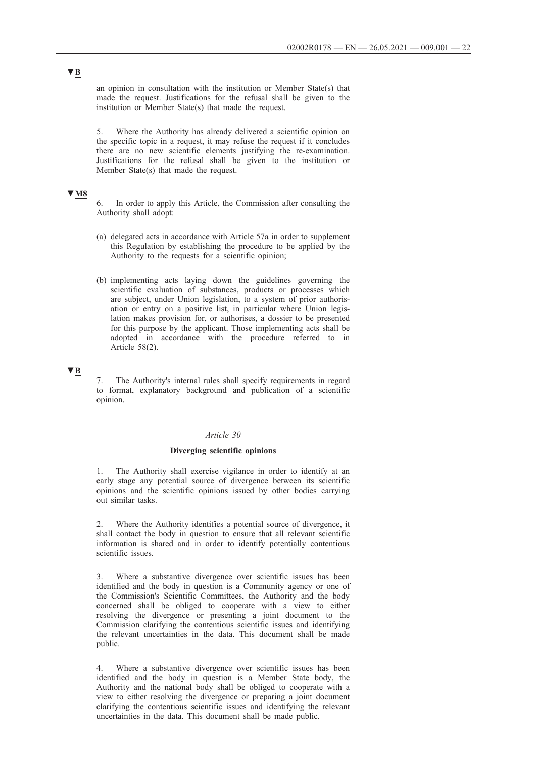an opinion in consultation with the institution or Member State(s) that made the request. Justifications for the refusal shall be given to the institution or Member State(s) that made the request.

5. Where the Authority has already delivered a scientific opinion on the specific topic in a request, it may refuse the request if it concludes there are no new scientific elements justifying the re-examination. Justifications for the refusal shall be given to the institution or Member State(s) that made the request.

# **▼M8**

6. In order to apply this Article, the Commission after consulting the Authority shall adopt:

- (a) delegated acts in accordance with Article 57a in order to supplement this Regulation by establishing the procedure to be applied by the Authority to the requests for a scientific opinion;
- (b) implementing acts laying down the guidelines governing the scientific evaluation of substances, products or processes which are subject, under Union legislation, to a system of prior authorisation or entry on a positive list, in particular where Union legislation makes provision for, or authorises, a dossier to be presented for this purpose by the applicant. Those implementing acts shall be adopted in accordance with the procedure referred to in Article 58(2).

## **▼B**

7. The Authority's internal rules shall specify requirements in regard to format, explanatory background and publication of a scientific opinion.

### *Article 30*

### **Diverging scientific opinions**

1. The Authority shall exercise vigilance in order to identify at an early stage any potential source of divergence between its scientific opinions and the scientific opinions issued by other bodies carrying out similar tasks.

2. Where the Authority identifies a potential source of divergence, it shall contact the body in question to ensure that all relevant scientific information is shared and in order to identify potentially contentious scientific issues.

3. Where a substantive divergence over scientific issues has been identified and the body in question is a Community agency or one of the Commission's Scientific Committees, the Authority and the body concerned shall be obliged to cooperate with a view to either resolving the divergence or presenting a joint document to the Commission clarifying the contentious scientific issues and identifying the relevant uncertainties in the data. This document shall be made public.

4. Where a substantive divergence over scientific issues has been identified and the body in question is a Member State body, the Authority and the national body shall be obliged to cooperate with a view to either resolving the divergence or preparing a joint document clarifying the contentious scientific issues and identifying the relevant uncertainties in the data. This document shall be made public.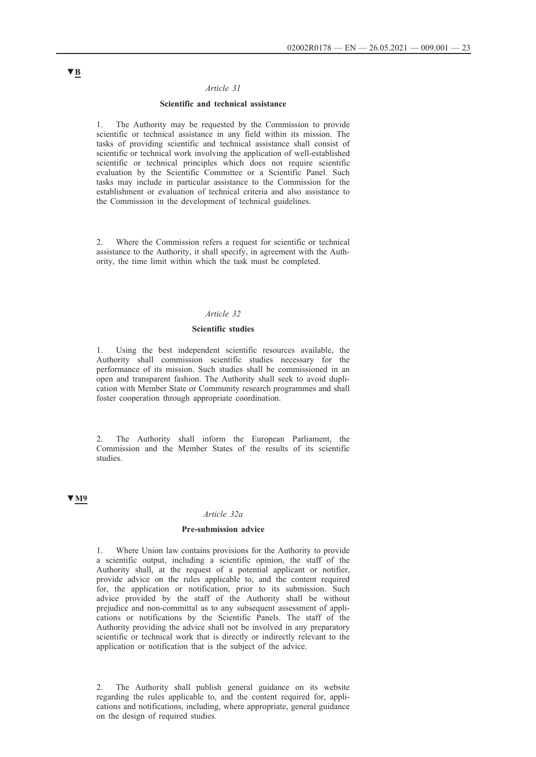### *Article 31*

## **Scientific and technical assistance**

1. The Authority may be requested by the Commission to provide scientific or technical assistance in any field within its mission. The tasks of providing scientific and technical assistance shall consist of scientific or technical work involving the application of well-established scientific or technical principles which does not require scientific evaluation by the Scientific Committee or a Scientific Panel. Such tasks may include in particular assistance to the Commission for the establishment or evaluation of technical criteria and also assistance to the Commission in the development of technical guidelines.

2. Where the Commission refers a request for scientific or technical assistance to the Authority, it shall specify, in agreement with the Authority, the time limit within which the task must be completed.

## *Article 32*

# **Scientific studies**

Using the best independent scientific resources available, the Authority shall commission scientific studies necessary for the performance of its mission. Such studies shall be commissioned in an open and transparent fashion. The Authority shall seek to avoid duplication with Member State or Community research programmes and shall foster cooperation through appropriate coordination.

The Authority shall inform the European Parliament, the Commission and the Member States of the results of its scientific studies.

### **▼M9**

#### *Article 32a*

### **Pre-submission advice**

1. Where Union law contains provisions for the Authority to provide a scientific output, including a scientific opinion, the staff of the Authority shall, at the request of a potential applicant or notifier, provide advice on the rules applicable to, and the content required for, the application or notification, prior to its submission. Such advice provided by the staff of the Authority shall be without prejudice and non-committal as to any subsequent assessment of applications or notifications by the Scientific Panels. The staff of the Authority providing the advice shall not be involved in any preparatory scientific or technical work that is directly or indirectly relevant to the application or notification that is the subject of the advice.

2. The Authority shall publish general guidance on its website regarding the rules applicable to, and the content required for, applications and notifications, including, where appropriate, general guidance on the design of required studies.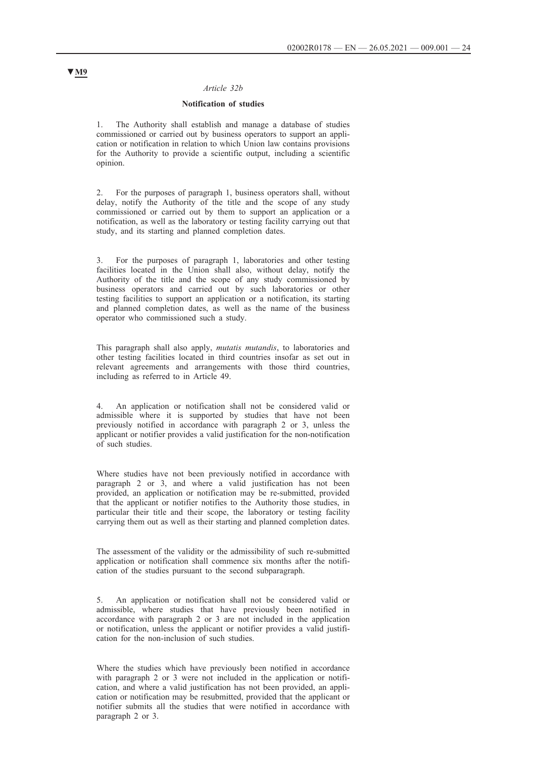### *Article 32b*

# **Notification of studies**

1. The Authority shall establish and manage a database of studies commissioned or carried out by business operators to support an application or notification in relation to which Union law contains provisions for the Authority to provide a scientific output, including a scientific opinion.

2. For the purposes of paragraph 1, business operators shall, without delay, notify the Authority of the title and the scope of any study commissioned or carried out by them to support an application or a notification, as well as the laboratory or testing facility carrying out that study, and its starting and planned completion dates.

3. For the purposes of paragraph 1, laboratories and other testing facilities located in the Union shall also, without delay, notify the Authority of the title and the scope of any study commissioned by business operators and carried out by such laboratories or other testing facilities to support an application or a notification, its starting and planned completion dates, as well as the name of the business operator who commissioned such a study.

This paragraph shall also apply, *mutatis mutandis*, to laboratories and other testing facilities located in third countries insofar as set out in relevant agreements and arrangements with those third countries, including as referred to in Article 49.

4. An application or notification shall not be considered valid or admissible where it is supported by studies that have not been previously notified in accordance with paragraph 2 or 3, unless the applicant or notifier provides a valid justification for the non-notification of such studies.

Where studies have not been previously notified in accordance with paragraph 2 or 3, and where a valid justification has not been provided, an application or notification may be re-submitted, provided that the applicant or notifier notifies to the Authority those studies, in particular their title and their scope, the laboratory or testing facility carrying them out as well as their starting and planned completion dates.

The assessment of the validity or the admissibility of such re-submitted application or notification shall commence six months after the notification of the studies pursuant to the second subparagraph.

5. An application or notification shall not be considered valid or admissible, where studies that have previously been notified in accordance with paragraph 2 or 3 are not included in the application or notification, unless the applicant or notifier provides a valid justification for the non-inclusion of such studies.

Where the studies which have previously been notified in accordance with paragraph 2 or 3 were not included in the application or notification, and where a valid justification has not been provided, an application or notification may be resubmitted, provided that the applicant or notifier submits all the studies that were notified in accordance with paragraph 2 or 3.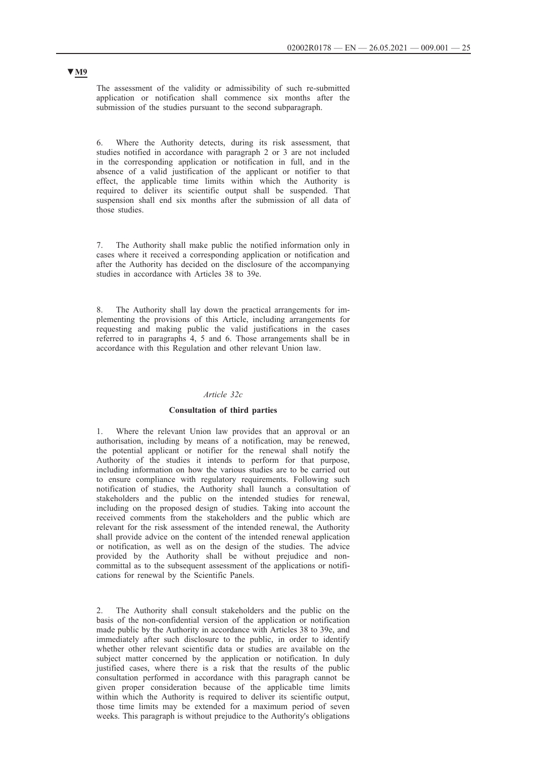The assessment of the validity or admissibility of such re-submitted application or notification shall commence six months after the submission of the studies pursuant to the second subparagraph.

6. Where the Authority detects, during its risk assessment, that studies notified in accordance with paragraph 2 or 3 are not included in the corresponding application or notification in full, and in the absence of a valid justification of the applicant or notifier to that effect, the applicable time limits within which the Authority is required to deliver its scientific output shall be suspended. That suspension shall end six months after the submission of all data of those studies.

7. The Authority shall make public the notified information only in cases where it received a corresponding application or notification and after the Authority has decided on the disclosure of the accompanying studies in accordance with Articles 38 to 39e.

8. The Authority shall lay down the practical arrangements for implementing the provisions of this Article, including arrangements for requesting and making public the valid justifications in the cases referred to in paragraphs 4, 5 and 6. Those arrangements shall be in accordance with this Regulation and other relevant Union law.

#### *Article 32c*

### **Consultation of third parties**

1. Where the relevant Union law provides that an approval or an authorisation, including by means of a notification, may be renewed, the potential applicant or notifier for the renewal shall notify the Authority of the studies it intends to perform for that purpose, including information on how the various studies are to be carried out to ensure compliance with regulatory requirements. Following such notification of studies, the Authority shall launch a consultation of stakeholders and the public on the intended studies for renewal, including on the proposed design of studies. Taking into account the received comments from the stakeholders and the public which are relevant for the risk assessment of the intended renewal, the Authority shall provide advice on the content of the intended renewal application or notification, as well as on the design of the studies. The advice provided by the Authority shall be without prejudice and noncommittal as to the subsequent assessment of the applications or notifications for renewal by the Scientific Panels.

2. The Authority shall consult stakeholders and the public on the basis of the non-confidential version of the application or notification made public by the Authority in accordance with Articles 38 to 39e, and immediately after such disclosure to the public, in order to identify whether other relevant scientific data or studies are available on the subject matter concerned by the application or notification. In duly justified cases, where there is a risk that the results of the public consultation performed in accordance with this paragraph cannot be given proper consideration because of the applicable time limits within which the Authority is required to deliver its scientific output, those time limits may be extended for a maximum period of seven weeks. This paragraph is without prejudice to the Authority's obligations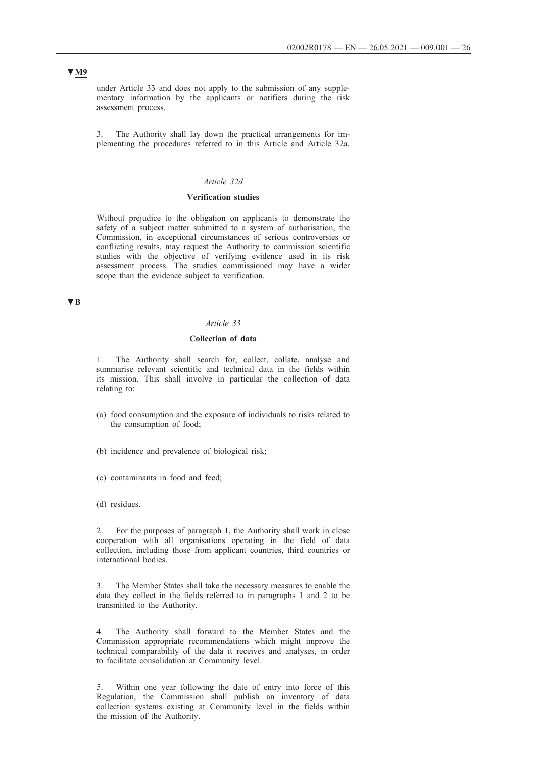under Article 33 and does not apply to the submission of any supplementary information by the applicants or notifiers during the risk assessment process.

3. The Authority shall lay down the practical arrangements for implementing the procedures referred to in this Article and Article 32a.

## *Article 32d*

### **Verification studies**

Without prejudice to the obligation on applicants to demonstrate the safety of a subject matter submitted to a system of authorisation, the Commission, in exceptional circumstances of serious controversies or conflicting results, may request the Authority to commission scientific studies with the objective of verifying evidence used in its risk assessment process. The studies commissioned may have a wider scope than the evidence subject to verification.

# **▼B**

## *Article 33*

# **Collection of data**

1. The Authority shall search for, collect, collate, analyse and summarise relevant scientific and technical data in the fields within its mission. This shall involve in particular the collection of data relating to:

- (a) food consumption and the exposure of individuals to risks related to the consumption of food;
- (b) incidence and prevalence of biological risk;
- (c) contaminants in food and feed;
- (d) residues.

2. For the purposes of paragraph 1, the Authority shall work in close cooperation with all organisations operating in the field of data collection, including those from applicant countries, third countries or international bodies.

3. The Member States shall take the necessary measures to enable the data they collect in the fields referred to in paragraphs 1 and 2 to be transmitted to the Authority.

4. The Authority shall forward to the Member States and the Commission appropriate recommendations which might improve the technical comparability of the data it receives and analyses, in order to facilitate consolidation at Community level.

5. Within one year following the date of entry into force of this Regulation, the Commission shall publish an inventory of data collection systems existing at Community level in the fields within the mission of the Authority.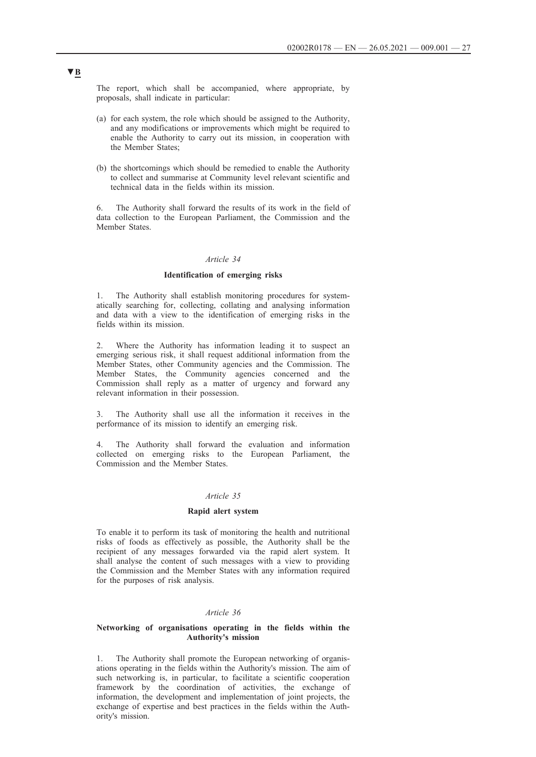The report, which shall be accompanied, where appropriate, by proposals, shall indicate in particular:

- (a) for each system, the role which should be assigned to the Authority, and any modifications or improvements which might be required to enable the Authority to carry out its mission, in cooperation with the Member States;
- (b) the shortcomings which should be remedied to enable the Authority to collect and summarise at Community level relevant scientific and technical data in the fields within its mission.

6. The Authority shall forward the results of its work in the field of data collection to the European Parliament, the Commission and the Member States.

#### *Article 34*

## **Identification of emerging risks**

1. The Authority shall establish monitoring procedures for systematically searching for, collecting, collating and analysing information and data with a view to the identification of emerging risks in the fields within its mission.

2. Where the Authority has information leading it to suspect an emerging serious risk, it shall request additional information from the Member States, other Community agencies and the Commission. The Member States, the Community agencies concerned and the Commission shall reply as a matter of urgency and forward any relevant information in their possession.

3. The Authority shall use all the information it receives in the performance of its mission to identify an emerging risk.

4. The Authority shall forward the evaluation and information collected on emerging risks to the European Parliament, the Commission and the Member States.

## *Article 35*

### **Rapid alert system**

To enable it to perform its task of monitoring the health and nutritional risks of foods as effectively as possible, the Authority shall be the recipient of any messages forwarded via the rapid alert system. It shall analyse the content of such messages with a view to providing the Commission and the Member States with any information required for the purposes of risk analysis.

### *Article 36*

### **Networking of organisations operating in the fields within the Authority's mission**

The Authority shall promote the European networking of organisations operating in the fields within the Authority's mission. The aim of such networking is, in particular, to facilitate a scientific cooperation framework by the coordination of activities, the exchange of information, the development and implementation of joint projects, the exchange of expertise and best practices in the fields within the Authority's mission.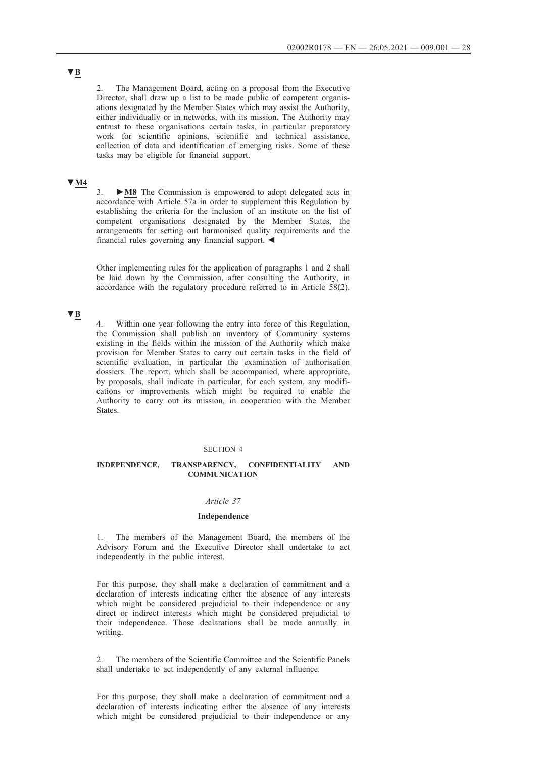2. The Management Board, acting on a proposal from the Executive Director, shall draw up a list to be made public of competent organisations designated by the Member States which may assist the Authority, either individually or in networks, with its mission. The Authority may entrust to these organisations certain tasks, in particular preparatory work for scientific opinions, scientific and technical assistance, collection of data and identification of emerging risks. Some of these tasks may be eligible for financial support.

# **▼M4**

3. **►M8** The Commission is empowered to adopt delegated acts in accordance with Article 57a in order to supplement this Regulation by establishing the criteria for the inclusion of an institute on the list of competent organisations designated by the Member States, the arrangements for setting out harmonised quality requirements and the financial rules governing any financial support. ◄

Other implementing rules for the application of paragraphs 1 and 2 shall be laid down by the Commission, after consulting the Authority, in accordance with the regulatory procedure referred to in Article 58(2).

# **▼B**

4. Within one year following the entry into force of this Regulation, the Commission shall publish an inventory of Community systems existing in the fields within the mission of the Authority which make provision for Member States to carry out certain tasks in the field of scientific evaluation, in particular the examination of authorisation dossiers. The report, which shall be accompanied, where appropriate, by proposals, shall indicate in particular, for each system, any modifications or improvements which might be required to enable the Authority to carry out its mission, in cooperation with the Member **States**.

### SECTION 4

### **INDEPENDENCE, TRANSPARENCY, CONFIDENTIALITY AND COMMUNICATION**

## *Article 37*

## **Independence**

The members of the Management Board, the members of the Advisory Forum and the Executive Director shall undertake to act independently in the public interest.

For this purpose, they shall make a declaration of commitment and a declaration of interests indicating either the absence of any interests which might be considered prejudicial to their independence or any direct or indirect interests which might be considered prejudicial to their independence. Those declarations shall be made annually in writing.

2. The members of the Scientific Committee and the Scientific Panels shall undertake to act independently of any external influence.

For this purpose, they shall make a declaration of commitment and a declaration of interests indicating either the absence of any interests which might be considered prejudicial to their independence or any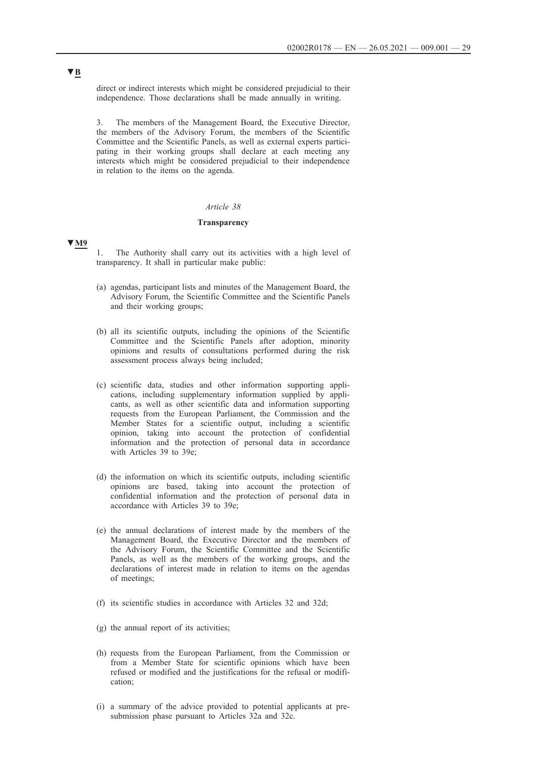direct or indirect interests which might be considered prejudicial to their independence. Those declarations shall be made annually in writing.

3. The members of the Management Board, the Executive Director, the members of the Advisory Forum, the members of the Scientific Committee and the Scientific Panels, as well as external experts participating in their working groups shall declare at each meeting any interests which might be considered prejudicial to their independence in relation to the items on the agenda.

## *Article 38*

## **Transparency**

### **▼M9**

1. The Authority shall carry out its activities with a high level of transparency. It shall in particular make public:

- (a) agendas, participant lists and minutes of the Management Board, the Advisory Forum, the Scientific Committee and the Scientific Panels and their working groups;
- (b) all its scientific outputs, including the opinions of the Scientific Committee and the Scientific Panels after adoption, minority opinions and results of consultations performed during the risk assessment process always being included;
- (c) scientific data, studies and other information supporting applications, including supplementary information supplied by applicants, as well as other scientific data and information supporting requests from the European Parliament, the Commission and the Member States for a scientific output, including a scientific opinion, taking into account the protection of confidential information and the protection of personal data in accordance with Articles 39 to 39e;
- (d) the information on which its scientific outputs, including scientific opinions are based, taking into account the protection of confidential information and the protection of personal data in accordance with Articles 39 to 39e;
- (e) the annual declarations of interest made by the members of the Management Board, the Executive Director and the members of the Advisory Forum, the Scientific Committee and the Scientific Panels, as well as the members of the working groups, and the declarations of interest made in relation to items on the agendas of meetings;
- (f) its scientific studies in accordance with Articles 32 and 32d;
- (g) the annual report of its activities;
- (h) requests from the European Parliament, from the Commission or from a Member State for scientific opinions which have been refused or modified and the justifications for the refusal or modification;
- (i) a summary of the advice provided to potential applicants at presubmission phase pursuant to Articles 32a and 32c.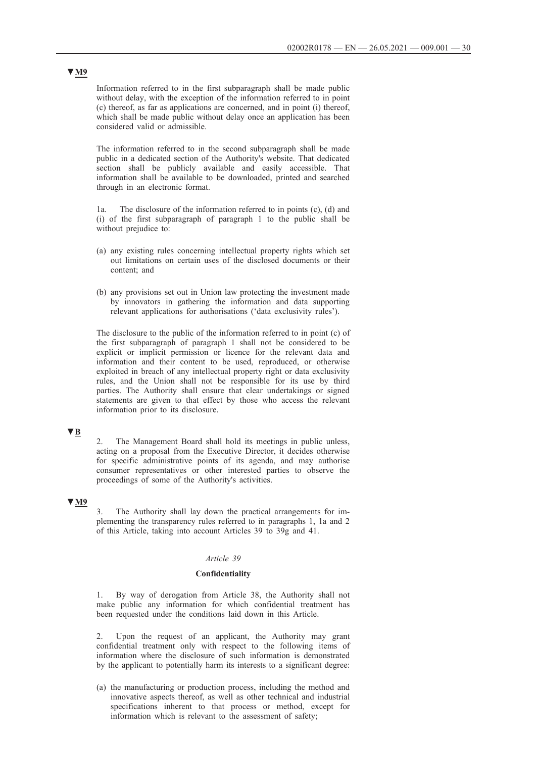Information referred to in the first subparagraph shall be made public without delay, with the exception of the information referred to in point (c) thereof, as far as applications are concerned, and in point (i) thereof, which shall be made public without delay once an application has been considered valid or admissible.

The information referred to in the second subparagraph shall be made public in a dedicated section of the Authority's website. That dedicated section shall be publicly available and easily accessible. That information shall be available to be downloaded, printed and searched through in an electronic format.

1a. The disclosure of the information referred to in points (c), (d) and (i) of the first subparagraph of paragraph 1 to the public shall be without prejudice to:

- (a) any existing rules concerning intellectual property rights which set out limitations on certain uses of the disclosed documents or their content; and
- (b) any provisions set out in Union law protecting the investment made by innovators in gathering the information and data supporting relevant applications for authorisations ('data exclusivity rules').

The disclosure to the public of the information referred to in point (c) of the first subparagraph of paragraph 1 shall not be considered to be explicit or implicit permission or licence for the relevant data and information and their content to be used, reproduced, or otherwise exploited in breach of any intellectual property right or data exclusivity rules, and the Union shall not be responsible for its use by third parties. The Authority shall ensure that clear undertakings or signed statements are given to that effect by those who access the relevant information prior to its disclosure.

# **▼B**

2. The Management Board shall hold its meetings in public unless, acting on a proposal from the Executive Director, it decides otherwise for specific administrative points of its agenda, and may authorise consumer representatives or other interested parties to observe the proceedings of some of the Authority's activities.

### **▼M9**

3. The Authority shall lay down the practical arrangements for implementing the transparency rules referred to in paragraphs 1, 1a and 2 of this Article, taking into account Articles 39 to 39g and 41.

## *Article 39*

### **Confidentiality**

1. By way of derogation from Article 38, the Authority shall not make public any information for which confidential treatment has been requested under the conditions laid down in this Article.

2. Upon the request of an applicant, the Authority may grant confidential treatment only with respect to the following items of information where the disclosure of such information is demonstrated by the applicant to potentially harm its interests to a significant degree:

(a) the manufacturing or production process, including the method and innovative aspects thereof, as well as other technical and industrial specifications inherent to that process or method, except for information which is relevant to the assessment of safety;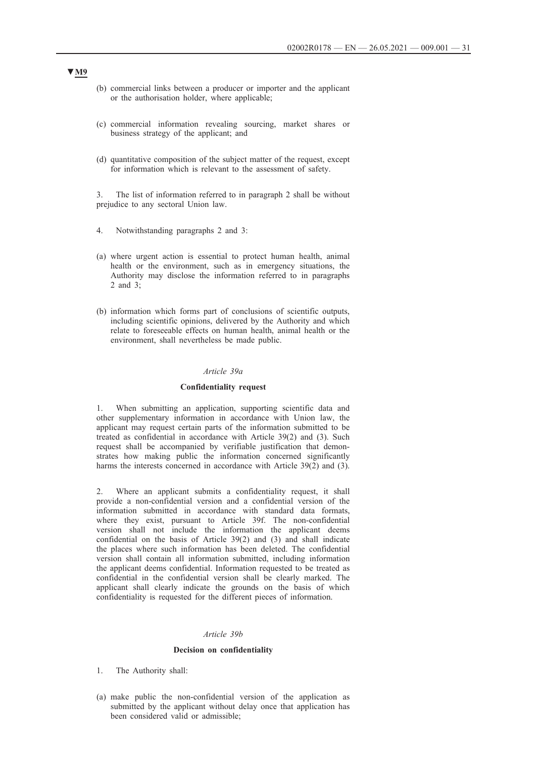- (b) commercial links between a producer or importer and the applicant or the authorisation holder, where applicable;
- (c) commercial information revealing sourcing, market shares or business strategy of the applicant; and
- (d) quantitative composition of the subject matter of the request, except for information which is relevant to the assessment of safety.

3. The list of information referred to in paragraph 2 shall be without prejudice to any sectoral Union law.

- 4. Notwithstanding paragraphs 2 and 3:
- (a) where urgent action is essential to protect human health, animal health or the environment, such as in emergency situations, the Authority may disclose the information referred to in paragraphs 2 and 3;
- (b) information which forms part of conclusions of scientific outputs, including scientific opinions, delivered by the Authority and which relate to foreseeable effects on human health, animal health or the environment, shall nevertheless be made public.

## *Article 39a*

### **Confidentiality request**

When submitting an application, supporting scientific data and other supplementary information in accordance with Union law, the applicant may request certain parts of the information submitted to be treated as confidential in accordance with Article 39(2) and (3). Such request shall be accompanied by verifiable justification that demonstrates how making public the information concerned significantly harms the interests concerned in accordance with Article 39(2) and (3).

2. Where an applicant submits a confidentiality request, it shall provide a non-confidential version and a confidential version of the information submitted in accordance with standard data formats, where they exist, pursuant to Article 39f. The non-confidential version shall not include the information the applicant deems confidential on the basis of Article 39(2) and (3) and shall indicate the places where such information has been deleted. The confidential version shall contain all information submitted, including information the applicant deems confidential. Information requested to be treated as confidential in the confidential version shall be clearly marked. The applicant shall clearly indicate the grounds on the basis of which confidentiality is requested for the different pieces of information.

#### *Article 39b*

### **Decision on confidentiality**

- 1. The Authority shall:
- (a) make public the non-confidential version of the application as submitted by the applicant without delay once that application has been considered valid or admissible;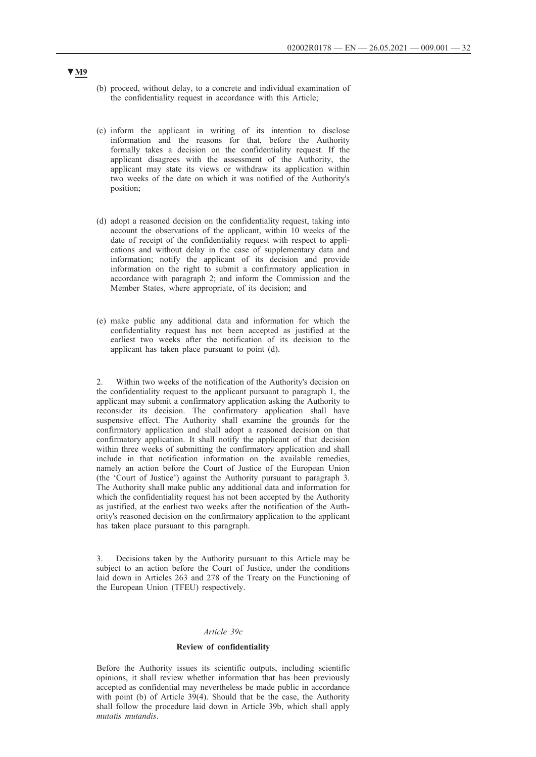- (b) proceed, without delay, to a concrete and individual examination of the confidentiality request in accordance with this Article;
- (c) inform the applicant in writing of its intention to disclose information and the reasons for that, before the Authority formally takes a decision on the confidentiality request. If the applicant disagrees with the assessment of the Authority, the applicant may state its views or withdraw its application within two weeks of the date on which it was notified of the Authority's position;
- (d) adopt a reasoned decision on the confidentiality request, taking into account the observations of the applicant, within 10 weeks of the date of receipt of the confidentiality request with respect to applications and without delay in the case of supplementary data and information; notify the applicant of its decision and provide information on the right to submit a confirmatory application in accordance with paragraph 2; and inform the Commission and the Member States, where appropriate, of its decision; and
- (e) make public any additional data and information for which the confidentiality request has not been accepted as justified at the earliest two weeks after the notification of its decision to the applicant has taken place pursuant to point (d).

Within two weeks of the notification of the Authority's decision on the confidentiality request to the applicant pursuant to paragraph 1, the applicant may submit a confirmatory application asking the Authority to reconsider its decision. The confirmatory application shall have suspensive effect. The Authority shall examine the grounds for the confirmatory application and shall adopt a reasoned decision on that confirmatory application. It shall notify the applicant of that decision within three weeks of submitting the confirmatory application and shall include in that notification information on the available remedies, namely an action before the Court of Justice of the European Union (the 'Court of Justice') against the Authority pursuant to paragraph 3. The Authority shall make public any additional data and information for which the confidentiality request has not been accepted by the Authority as justified, at the earliest two weeks after the notification of the Authority's reasoned decision on the confirmatory application to the applicant has taken place pursuant to this paragraph.

Decisions taken by the Authority pursuant to this Article may be subject to an action before the Court of Justice, under the conditions laid down in Articles 263 and 278 of the Treaty on the Functioning of the European Union (TFEU) respectively.

### *Article 39c*

#### **Review of confidentiality**

Before the Authority issues its scientific outputs, including scientific opinions, it shall review whether information that has been previously accepted as confidential may nevertheless be made public in accordance with point (b) of Article 39(4). Should that be the case, the Authority shall follow the procedure laid down in Article 39b, which shall apply *mutatis mutandis*.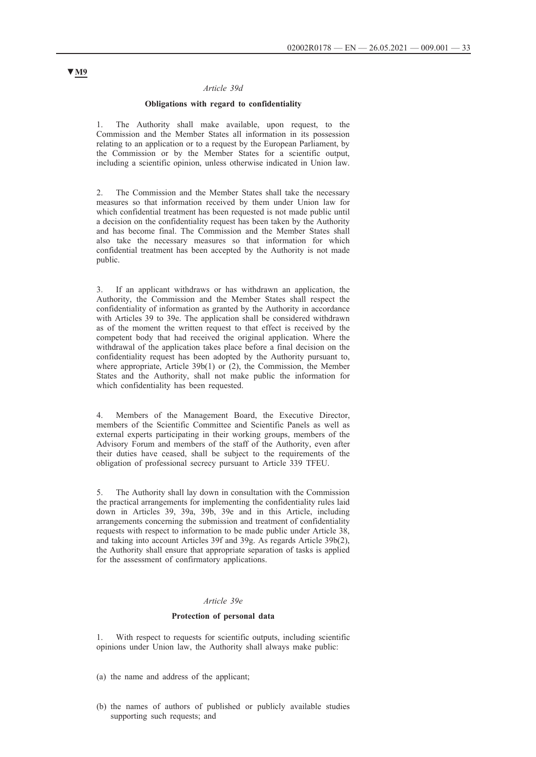### *Article 39d*

### **Obligations with regard to confidentiality**

1. The Authority shall make available, upon request, to the Commission and the Member States all information in its possession relating to an application or to a request by the European Parliament, by the Commission or by the Member States for a scientific output, including a scientific opinion, unless otherwise indicated in Union law.

2. The Commission and the Member States shall take the necessary measures so that information received by them under Union law for which confidential treatment has been requested is not made public until a decision on the confidentiality request has been taken by the Authority and has become final. The Commission and the Member States shall also take the necessary measures so that information for which confidential treatment has been accepted by the Authority is not made public.

3. If an applicant withdraws or has withdrawn an application, the Authority, the Commission and the Member States shall respect the confidentiality of information as granted by the Authority in accordance with Articles 39 to 39e. The application shall be considered withdrawn as of the moment the written request to that effect is received by the competent body that had received the original application. Where the withdrawal of the application takes place before a final decision on the confidentiality request has been adopted by the Authority pursuant to, where appropriate, Article 39b(1) or (2), the Commission, the Member States and the Authority, shall not make public the information for which confidentiality has been requested.

4. Members of the Management Board, the Executive Director, members of the Scientific Committee and Scientific Panels as well as external experts participating in their working groups, members of the Advisory Forum and members of the staff of the Authority, even after their duties have ceased, shall be subject to the requirements of the obligation of professional secrecy pursuant to Article 339 TFEU.

5. The Authority shall lay down in consultation with the Commission the practical arrangements for implementing the confidentiality rules laid down in Articles 39, 39a, 39b, 39e and in this Article, including arrangements concerning the submission and treatment of confidentiality requests with respect to information to be made public under Article 38, and taking into account Articles 39f and 39g. As regards Article 39b(2), the Authority shall ensure that appropriate separation of tasks is applied for the assessment of confirmatory applications.

### *Article 39e*

### **Protection of personal data**

1. With respect to requests for scientific outputs, including scientific opinions under Union law, the Authority shall always make public:

- (a) the name and address of the applicant;
- (b) the names of authors of published or publicly available studies supporting such requests; and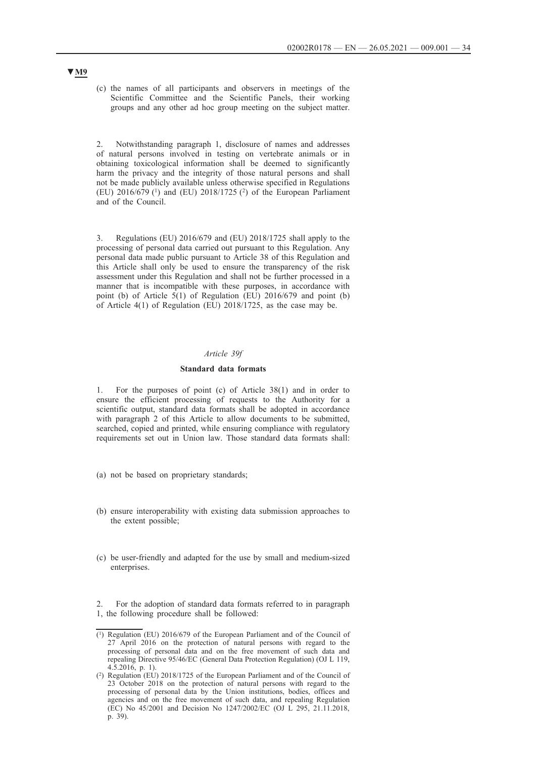(c) the names of all participants and observers in meetings of the Scientific Committee and the Scientific Panels, their working groups and any other ad hoc group meeting on the subject matter.

2. Notwithstanding paragraph 1, disclosure of names and addresses of natural persons involved in testing on vertebrate animals or in obtaining toxicological information shall be deemed to significantly harm the privacy and the integrity of those natural persons and shall not be made publicly available unless otherwise specified in Regulations (EU) 2016/679 (1) and (EU) 2018/1725 (2) of the European Parliament and of the Council.

3. Regulations (EU) 2016/679 and (EU) 2018/1725 shall apply to the processing of personal data carried out pursuant to this Regulation. Any personal data made public pursuant to Article 38 of this Regulation and this Article shall only be used to ensure the transparency of the risk assessment under this Regulation and shall not be further processed in a manner that is incompatible with these purposes, in accordance with point (b) of Article  $5(1)$  of Regulation (EU) 2016/679 and point (b) of Article 4(1) of Regulation (EU) 2018/1725, as the case may be.

## *Article 39f*

## **Standard data formats**

1. For the purposes of point (c) of Article 38(1) and in order to ensure the efficient processing of requests to the Authority for a scientific output, standard data formats shall be adopted in accordance with paragraph 2 of this Article to allow documents to be submitted, searched, copied and printed, while ensuring compliance with regulatory requirements set out in Union law. Those standard data formats shall:

- (a) not be based on proprietary standards;
- (b) ensure interoperability with existing data submission approaches to the extent possible;
- (c) be user-friendly and adapted for the use by small and medium-sized enterprises.

For the adoption of standard data formats referred to in paragraph 1, the following procedure shall be followed:

 $\overline{(^1)}$  Regulation (EU) 2016/679 of the European Parliament and of the Council of 27 April 2016 on the protection of natural persons with regard to the processing of personal data and on the free movement of such data and repealing Directive 95/46/EC (General Data Protection Regulation) (OJ L 119, 4.5.2016, p. 1).

<sup>(2)</sup> Regulation (EU) 2018/1725 of the European Parliament and of the Council of 23 October 2018 on the protection of natural persons with regard to the processing of personal data by the Union institutions, bodies, offices and agencies and on the free movement of such data, and repealing Regulation (EC) No 45/2001 and Decision No 1247/2002/EC (OJ L 295, 21.11.2018, p. 39).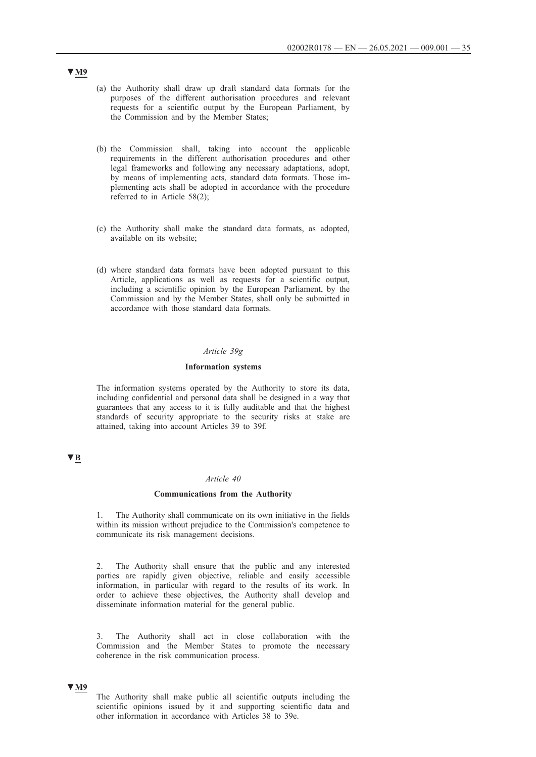- (a) the Authority shall draw up draft standard data formats for the purposes of the different authorisation procedures and relevant requests for a scientific output by the European Parliament, by the Commission and by the Member States;
- (b) the Commission shall, taking into account the applicable requirements in the different authorisation procedures and other legal frameworks and following any necessary adaptations, adopt, by means of implementing acts, standard data formats. Those implementing acts shall be adopted in accordance with the procedure referred to in Article 58(2);
- (c) the Authority shall make the standard data formats, as adopted, available on its website;
- (d) where standard data formats have been adopted pursuant to this Article, applications as well as requests for a scientific output, including a scientific opinion by the European Parliament, by the Commission and by the Member States, shall only be submitted in accordance with those standard data formats.

## *Article 39g*

#### **Information systems**

The information systems operated by the Authority to store its data, including confidential and personal data shall be designed in a way that guarantees that any access to it is fully auditable and that the highest standards of security appropriate to the security risks at stake are attained, taking into account Articles 39 to 39f.

# **▼B**

### *Article 40*

#### **Communications from the Authority**

1. The Authority shall communicate on its own initiative in the fields within its mission without prejudice to the Commission's competence to communicate its risk management decisions.

2. The Authority shall ensure that the public and any interested parties are rapidly given objective, reliable and easily accessible information, in particular with regard to the results of its work. In order to achieve these objectives, the Authority shall develop and disseminate information material for the general public.

3. The Authority shall act in close collaboration with the Commission and the Member States to promote the necessary coherence in the risk communication process.

### **▼M9**

The Authority shall make public all scientific outputs including the scientific opinions issued by it and supporting scientific data and other information in accordance with Articles 38 to 39e.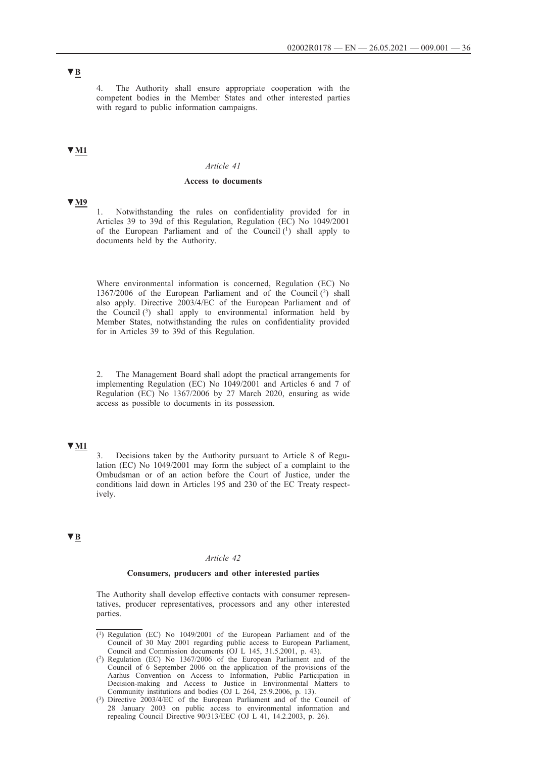4. The Authority shall ensure appropriate cooperation with the competent bodies in the Member States and other interested parties with regard to public information campaigns.

# **▼M1**

## *Article 41*

## **Access to documents**

**▼M9**

1. Notwithstanding the rules on confidentiality provided for in Articles 39 to 39d of this Regulation, Regulation (EC) No 1049/2001 of the European Parliament and of the Council (1) shall apply to documents held by the Authority.

Where environmental information is concerned, Regulation (EC) No 1367/2006 of the European Parliament and of the Council (2) shall also apply. Directive 2003/4/EC of the European Parliament and of the Council  $(3)$  shall apply to environmental information held by Member States, notwithstanding the rules on confidentiality provided for in Articles 39 to 39d of this Regulation.

2. The Management Board shall adopt the practical arrangements for implementing Regulation (EC) No 1049/2001 and Articles 6 and 7 of Regulation (EC) No 1367/2006 by 27 March 2020, ensuring as wide access as possible to documents in its possession.

# **▼M1**

3. Decisions taken by the Authority pursuant to Article 8 of Regulation (EC) No 1049/2001 may form the subject of a complaint to the Ombudsman or of an action before the Court of Justice, under the conditions laid down in Articles 195 and 230 of the EC Treaty respectively.

# **▼B**

# *Article 42*

## **Consumers, producers and other interested parties**

The Authority shall develop effective contacts with consumer representatives, producer representatives, processors and any other interested parties.

 $\overline{(^1)}$  Regulation (EC) No 1049/2001 of the European Parliament and of the Council of 30 May 2001 regarding public access to European Parliament, Council and Commission documents (OJ L 145, 31.5.2001, p. 43).

<sup>(2)</sup> Regulation (EC) No 1367/2006 of the European Parliament and of the Council of 6 September 2006 on the application of the provisions of the Aarhus Convention on Access to Information, Public Participation in Decision-making and Access to Justice in Environmental Matters to Community institutions and bodies (OJ L 264, 25.9.2006, p. 13).

<sup>(3)</sup> Directive 2003/4/EC of the European Parliament and of the Council of 28 January 2003 on public access to environmental information and repealing Council Directive 90/313/EEC (OJ L 41, 14.2.2003, p. 26).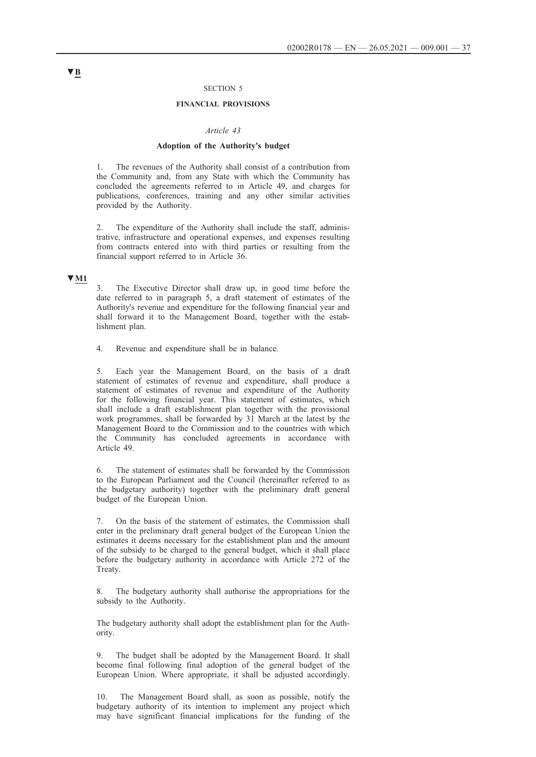### SECTION 5

### **FINANCIAL PROVISIONS**

#### *Article 43*

### **Adoption of the Authority's budget**

1. The revenues of the Authority shall consist of a contribution from the Community and, from any State with which the Community has concluded the agreements referred to in Article 49, and charges for publications, conferences, training and any other similar activities provided by the Authority.

2. The expenditure of the Authority shall include the staff, administrative, infrastructure and operational expenses, and expenses resulting from contracts entered into with third parties or resulting from the financial support referred to in Article 36.

## **▼M1**

3. The Executive Director shall draw up, in good time before the date referred to in paragraph 5, a draft statement of estimates of the Authority's revenue and expenditure for the following financial year and shall forward it to the Management Board, together with the establishment plan.

4. Revenue and expenditure shall be in balance.

5. Each year the Management Board, on the basis of a draft statement of estimates of revenue and expenditure, shall produce a statement of estimates of revenue and expenditure of the Authority for the following financial year. This statement of estimates, which shall include a draft establishment plan together with the provisional work programmes, shall be forwarded by 31 March at the latest by the Management Board to the Commission and to the countries with which the Community has concluded agreements in accordance with Article 49.

6. The statement of estimates shall be forwarded by the Commission to the European Parliament and the Council (hereinafter referred to as the budgetary authority) together with the preliminary draft general budget of the European Union.

7. On the basis of the statement of estimates, the Commission shall enter in the preliminary draft general budget of the European Union the estimates it deems necessary for the establishment plan and the amount of the subsidy to be charged to the general budget, which it shall place before the budgetary authority in accordance with Article 272 of the Treaty.

8. The budgetary authority shall authorise the appropriations for the subsidy to the Authority.

The budgetary authority shall adopt the establishment plan for the Authority.

9. The budget shall be adopted by the Management Board. It shall become final following final adoption of the general budget of the European Union. Where appropriate, it shall be adjusted accordingly.

10. The Management Board shall, as soon as possible, notify the budgetary authority of its intention to implement any project which may have significant financial implications for the funding of the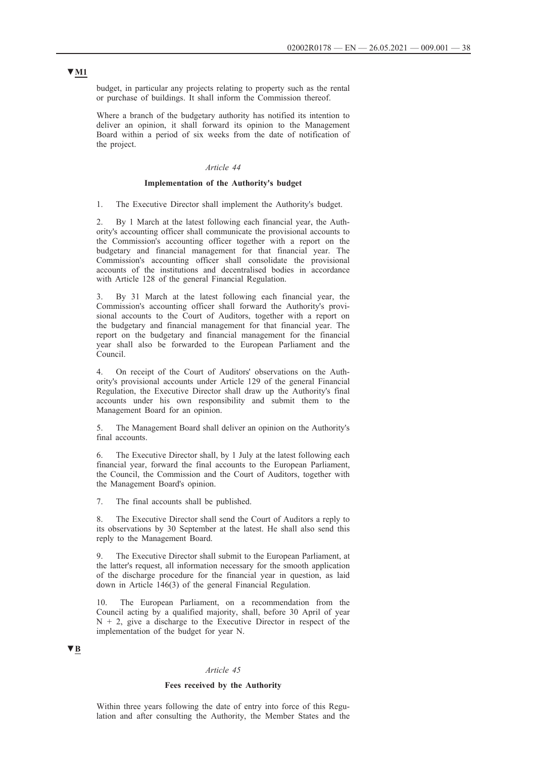budget, in particular any projects relating to property such as the rental or purchase of buildings. It shall inform the Commission thereof.

Where a branch of the budgetary authority has notified its intention to deliver an opinion, it shall forward its opinion to the Management Board within a period of six weeks from the date of notification of the project.

## *Article 44*

### **Implementation of the Authority's budget**

1. The Executive Director shall implement the Authority's budget.

By 1 March at the latest following each financial year, the Authority's accounting officer shall communicate the provisional accounts to the Commission's accounting officer together with a report on the budgetary and financial management for that financial year. The Commission's accounting officer shall consolidate the provisional accounts of the institutions and decentralised bodies in accordance with Article 128 of the general Financial Regulation.

By 31 March at the latest following each financial year, the Commission's accounting officer shall forward the Authority's provisional accounts to the Court of Auditors, together with a report on the budgetary and financial management for that financial year. The report on the budgetary and financial management for the financial year shall also be forwarded to the European Parliament and the Council.

4. On receipt of the Court of Auditors' observations on the Authority's provisional accounts under Article 129 of the general Financial Regulation, the Executive Director shall draw up the Authority's final accounts under his own responsibility and submit them to the Management Board for an opinion.

5. The Management Board shall deliver an opinion on the Authority's final accounts.

6. The Executive Director shall, by 1 July at the latest following each financial year, forward the final accounts to the European Parliament, the Council, the Commission and the Court of Auditors, together with the Management Board's opinion.

7. The final accounts shall be published.

The Executive Director shall send the Court of Auditors a reply to its observations by 30 September at the latest. He shall also send this reply to the Management Board.

9. The Executive Director shall submit to the European Parliament, at the latter's request, all information necessary for the smooth application of the discharge procedure for the financial year in question, as laid down in Article 146(3) of the general Financial Regulation.

The European Parliament, on a recommendation from the Council acting by a qualified majority, shall, before 30 April of year  $N + 2$ , give a discharge to the Executive Director in respect of the implementation of the budget for year N.

# **▼B**

## *Article 45*

#### **Fees received by the Authority**

Within three years following the date of entry into force of this Regulation and after consulting the Authority, the Member States and the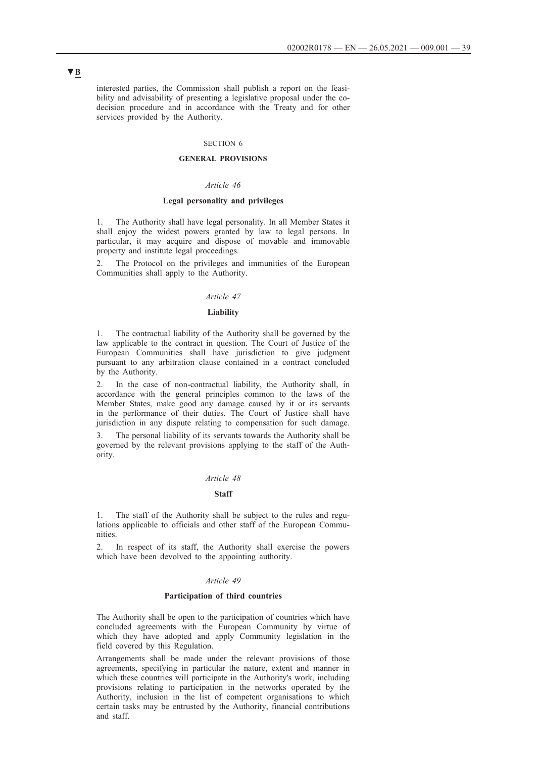interested parties, the Commission shall publish a report on the feasibility and advisability of presenting a legislative proposal under the codecision procedure and in accordance with the Treaty and for other services provided by the Authority.

### SECTION 6

### **GENERAL PROVISIONS**

#### *Article 46*

### **Legal personality and privileges**

1. The Authority shall have legal personality. In all Member States it shall enjoy the widest powers granted by law to legal persons. In particular, it may acquire and dispose of movable and immovable property and institute legal proceedings.

2. The Protocol on the privileges and immunities of the European Communities shall apply to the Authority.

#### *Article 47*

### **Liability**

1. The contractual liability of the Authority shall be governed by the law applicable to the contract in question. The Court of Justice of the European Communities shall have jurisdiction to give judgment pursuant to any arbitration clause contained in a contract concluded by the Authority.

2. In the case of non-contractual liability, the Authority shall, in accordance with the general principles common to the laws of the Member States, make good any damage caused by it or its servants in the performance of their duties. The Court of Justice shall have jurisdiction in any dispute relating to compensation for such damage.

3. The personal liability of its servants towards the Authority shall be governed by the relevant provisions applying to the staff of the Authority.

### *Article 48*

#### **Staff**

1. The staff of the Authority shall be subject to the rules and regulations applicable to officials and other staff of the European Communities.

2. In respect of its staff, the Authority shall exercise the powers which have been devolved to the appointing authority.

#### *Article 49*

### **Participation of third countries**

The Authority shall be open to the participation of countries which have concluded agreements with the European Community by virtue of which they have adopted and apply Community legislation in the field covered by this Regulation.

Arrangements shall be made under the relevant provisions of those agreements, specifying in particular the nature, extent and manner in which these countries will participate in the Authority's work, including provisions relating to participation in the networks operated by the Authority, inclusion in the list of competent organisations to which certain tasks may be entrusted by the Authority, financial contributions and staff.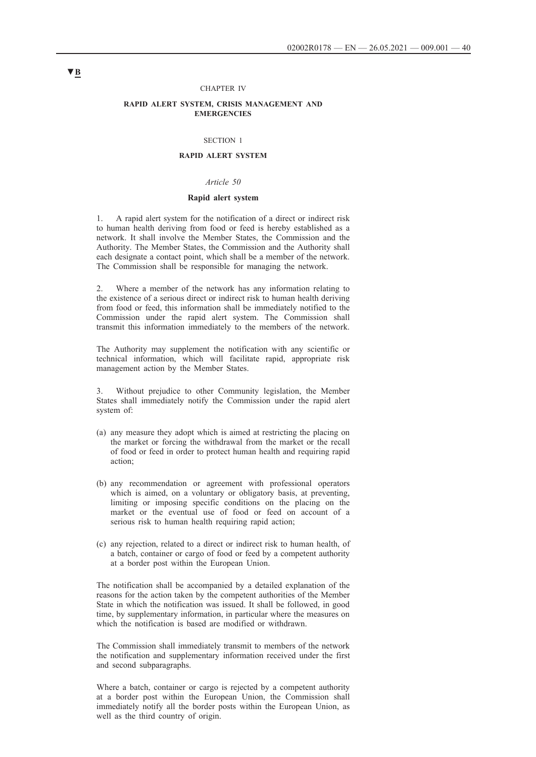#### CHAPTER IV

### **RAPID ALERT SYSTEM, CRISIS MANAGEMENT AND EMERGENCIES**

### SECTION 1

# **RAPID ALERT SYSTEM**

## *Article 50*

### **Rapid alert system**

1. A rapid alert system for the notification of a direct or indirect risk to human health deriving from food or feed is hereby established as a network. It shall involve the Member States, the Commission and the Authority. The Member States, the Commission and the Authority shall each designate a contact point, which shall be a member of the network. The Commission shall be responsible for managing the network.

2. Where a member of the network has any information relating to the existence of a serious direct or indirect risk to human health deriving from food or feed, this information shall be immediately notified to the Commission under the rapid alert system. The Commission shall transmit this information immediately to the members of the network.

The Authority may supplement the notification with any scientific or technical information, which will facilitate rapid, appropriate risk management action by the Member States.

Without prejudice to other Community legislation, the Member States shall immediately notify the Commission under the rapid alert system of:

- (a) any measure they adopt which is aimed at restricting the placing on the market or forcing the withdrawal from the market or the recall of food or feed in order to protect human health and requiring rapid action;
- (b) any recommendation or agreement with professional operators which is aimed, on a voluntary or obligatory basis, at preventing, limiting or imposing specific conditions on the placing on the market or the eventual use of food or feed on account of a serious risk to human health requiring rapid action;
- (c) any rejection, related to a direct or indirect risk to human health, of a batch, container or cargo of food or feed by a competent authority at a border post within the European Union.

The notification shall be accompanied by a detailed explanation of the reasons for the action taken by the competent authorities of the Member State in which the notification was issued. It shall be followed, in good time, by supplementary information, in particular where the measures on which the notification is based are modified or withdrawn.

The Commission shall immediately transmit to members of the network the notification and supplementary information received under the first and second subparagraphs.

Where a batch, container or cargo is rejected by a competent authority at a border post within the European Union, the Commission shall immediately notify all the border posts within the European Union, as well as the third country of origin.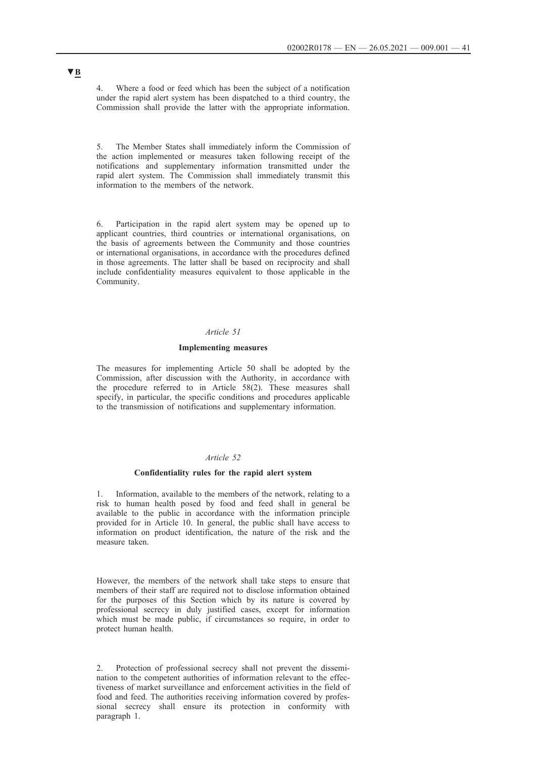4. Where a food or feed which has been the subject of a notification under the rapid alert system has been dispatched to a third country, the Commission shall provide the latter with the appropriate information.

5. The Member States shall immediately inform the Commission of the action implemented or measures taken following receipt of the notifications and supplementary information transmitted under the rapid alert system. The Commission shall immediately transmit this information to the members of the network.

6. Participation in the rapid alert system may be opened up to applicant countries, third countries or international organisations, on the basis of agreements between the Community and those countries or international organisations, in accordance with the procedures defined in those agreements. The latter shall be based on reciprocity and shall include confidentiality measures equivalent to those applicable in the Community.

# *Article 51*

### **Implementing measures**

The measures for implementing Article 50 shall be adopted by the Commission, after discussion with the Authority, in accordance with the procedure referred to in Article 58(2). These measures shall specify, in particular, the specific conditions and procedures applicable to the transmission of notifications and supplementary information.

## *Article 52*

#### **Confidentiality rules for the rapid alert system**

1. Information, available to the members of the network, relating to a risk to human health posed by food and feed shall in general be available to the public in accordance with the information principle provided for in Article 10. In general, the public shall have access to information on product identification, the nature of the risk and the measure taken.

However, the members of the network shall take steps to ensure that members of their staff are required not to disclose information obtained for the purposes of this Section which by its nature is covered by professional secrecy in duly justified cases, except for information which must be made public, if circumstances so require, in order to protect human health.

2. Protection of professional secrecy shall not prevent the dissemination to the competent authorities of information relevant to the effectiveness of market surveillance and enforcement activities in the field of food and feed. The authorities receiving information covered by professional secrecy shall ensure its protection in conformity with paragraph 1.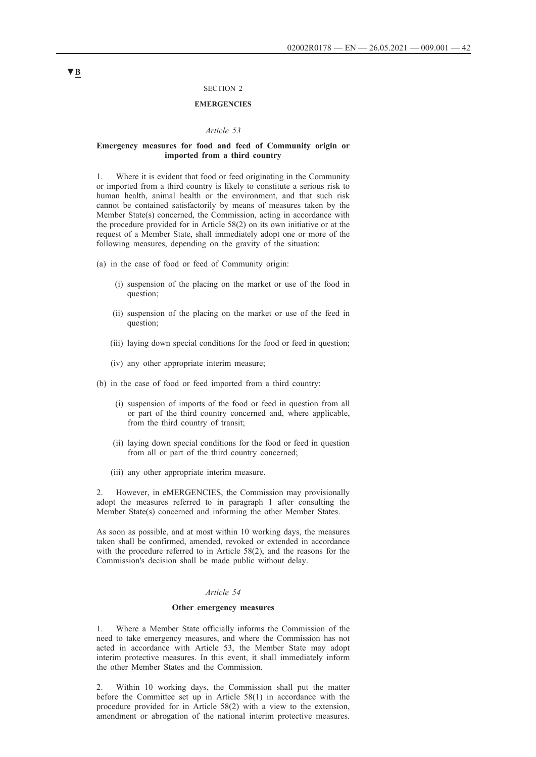### SECTION 2

## **EMERGENCIES**

#### *Article 53*

### **Emergency measures for food and feed of Community origin or imported from a third country**

1. Where it is evident that food or feed originating in the Community or imported from a third country is likely to constitute a serious risk to human health, animal health or the environment, and that such risk cannot be contained satisfactorily by means of measures taken by the Member State(s) concerned, the Commission, acting in accordance with the procedure provided for in Article 58(2) on its own initiative or at the request of a Member State, shall immediately adopt one or more of the following measures, depending on the gravity of the situation:

- (a) in the case of food or feed of Community origin:
	- (i) suspension of the placing on the market or use of the food in question;
	- (ii) suspension of the placing on the market or use of the feed in question;
	- (iii) laying down special conditions for the food or feed in question;
	- (iv) any other appropriate interim measure;

(b) in the case of food or feed imported from a third country:

- (i) suspension of imports of the food or feed in question from all or part of the third country concerned and, where applicable, from the third country of transit;
- (ii) laying down special conditions for the food or feed in question from all or part of the third country concerned;
- (iii) any other appropriate interim measure.

2. However, in eMERGENCIES, the Commission may provisionally adopt the measures referred to in paragraph 1 after consulting the Member State(s) concerned and informing the other Member States.

As soon as possible, and at most within 10 working days, the measures taken shall be confirmed, amended, revoked or extended in accordance with the procedure referred to in Article 58(2), and the reasons for the Commission's decision shall be made public without delay.

## *Article 54*

### **Other emergency measures**

1. Where a Member State officially informs the Commission of the need to take emergency measures, and where the Commission has not acted in accordance with Article 53, the Member State may adopt interim protective measures. In this event, it shall immediately inform the other Member States and the Commission.

2. Within 10 working days, the Commission shall put the matter before the Committee set up in Article 58(1) in accordance with the procedure provided for in Article 58(2) with a view to the extension, amendment or abrogation of the national interim protective measures.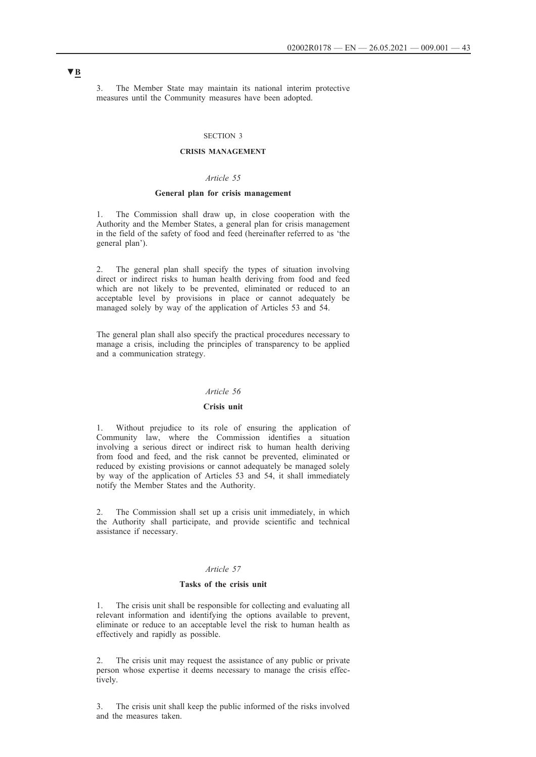3. The Member State may maintain its national interim protective measures until the Community measures have been adopted.

### SECTION 3

## **CRISIS MANAGEMENT**

### *Article 55*

### **General plan for crisis management**

1. The Commission shall draw up, in close cooperation with the Authority and the Member States, a general plan for crisis management in the field of the safety of food and feed (hereinafter referred to as 'the general plan').

2. The general plan shall specify the types of situation involving direct or indirect risks to human health deriving from food and feed which are not likely to be prevented, eliminated or reduced to an acceptable level by provisions in place or cannot adequately be managed solely by way of the application of Articles 53 and 54.

The general plan shall also specify the practical procedures necessary to manage a crisis, including the principles of transparency to be applied and a communication strategy.

### *Article 56*

## **Crisis unit**

1. Without prejudice to its role of ensuring the application of Community law, where the Commission identifies a situation involving a serious direct or indirect risk to human health deriving from food and feed, and the risk cannot be prevented, eliminated or reduced by existing provisions or cannot adequately be managed solely by way of the application of Articles 53 and 54, it shall immediately notify the Member States and the Authority.

2. The Commission shall set up a crisis unit immediately, in which the Authority shall participate, and provide scientific and technical assistance if necessary.

# *Article 57*

## **Tasks of the crisis unit**

1. The crisis unit shall be responsible for collecting and evaluating all relevant information and identifying the options available to prevent, eliminate or reduce to an acceptable level the risk to human health as effectively and rapidly as possible.

2. The crisis unit may request the assistance of any public or private person whose expertise it deems necessary to manage the crisis effectively.

3. The crisis unit shall keep the public informed of the risks involved and the measures taken.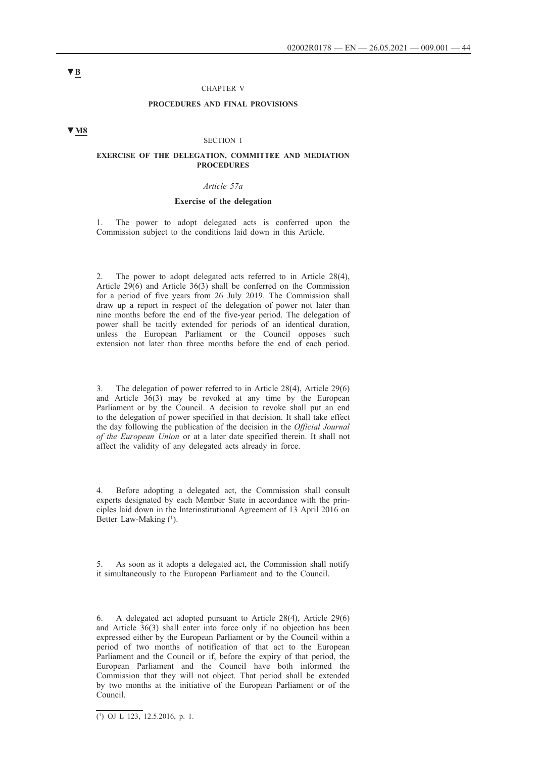### CHAPTER V

#### **PROCEDURES AND FINAL PROVISIONS**

**▼M8**

#### SECTION 1

### **EXERCISE OF THE DELEGATION, COMMITTEE AND MEDIATION PROCEDURES**

### *Article 57a*

### **Exercise of the delegation**

1. The power to adopt delegated acts is conferred upon the Commission subject to the conditions laid down in this Article.

The power to adopt delegated acts referred to in Article 28(4), Article 29(6) and Article 36(3) shall be conferred on the Commission for a period of five years from 26 July 2019. The Commission shall draw up a report in respect of the delegation of power not later than nine months before the end of the five-year period. The delegation of power shall be tacitly extended for periods of an identical duration, unless the European Parliament or the Council opposes such extension not later than three months before the end of each period.

3. The delegation of power referred to in Article 28(4), Article 29(6) and Article 36(3) may be revoked at any time by the European Parliament or by the Council. A decision to revoke shall put an end to the delegation of power specified in that decision. It shall take effect the day following the publication of the decision in the *Official Journal of the European Union* or at a later date specified therein. It shall not affect the validity of any delegated acts already in force.

4. Before adopting a delegated act, the Commission shall consult experts designated by each Member State in accordance with the principles laid down in the Interinstitutional Agreement of 13 April 2016 on Better Law-Making (1).

As soon as it adopts a delegated act, the Commission shall notify it simultaneously to the European Parliament and to the Council.

6. A delegated act adopted pursuant to Article 28(4), Article 29(6) and Article 36(3) shall enter into force only if no objection has been expressed either by the European Parliament or by the Council within a period of two months of notification of that act to the European Parliament and the Council or if, before the expiry of that period, the European Parliament and the Council have both informed the Commission that they will not object. That period shall be extended by two months at the initiative of the European Parliament or of the Council.

 $\overline{(^1)}$  OJ L 123, 12.5.2016, p. 1.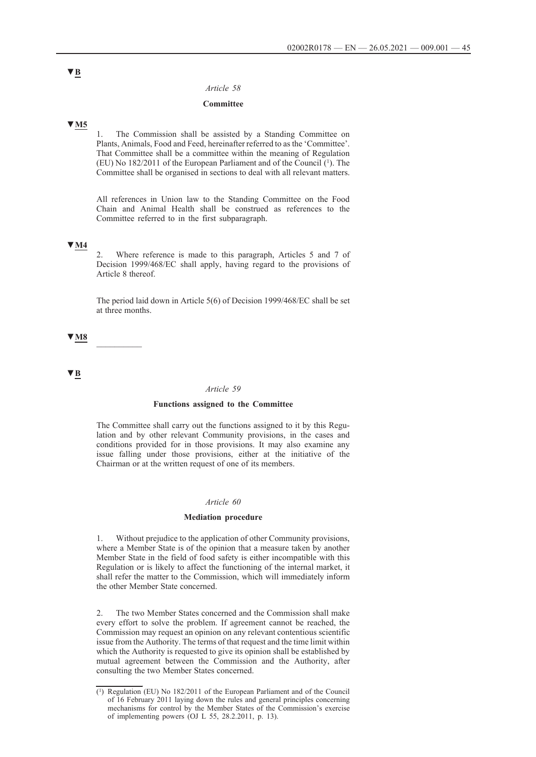### *Article 58*

# **Committee**

# **▼M5**

The Commission shall be assisted by a Standing Committee on Plants, Animals, Food and Feed, hereinafter referred to as the 'Committee'. That Committee shall be a committee within the meaning of Regulation (EU) No 182/2011 of the European Parliament and of the Council (1). The Committee shall be organised in sections to deal with all relevant matters.

All references in Union law to the Standing Committee on the Food Chain and Animal Health shall be construed as references to the Committee referred to in the first subparagraph.

# **▼M4**

2. Where reference is made to this paragraph, Articles 5 and 7 of Decision 1999/468/EC shall apply, having regard to the provisions of Article 8 thereof.

The period laid down in Article 5(6) of Decision 1999/468/EC shall be set at three months.

## **▼M8** \_\_\_\_\_\_\_\_\_\_

## **▼B**

### *Article 59*

### **Functions assigned to the Committee**

The Committee shall carry out the functions assigned to it by this Regulation and by other relevant Community provisions, in the cases and conditions provided for in those provisions. It may also examine any issue falling under those provisions, either at the initiative of the Chairman or at the written request of one of its members.

#### *Article 60*

### **Mediation procedure**

1. Without prejudice to the application of other Community provisions, where a Member State is of the opinion that a measure taken by another Member State in the field of food safety is either incompatible with this Regulation or is likely to affect the functioning of the internal market, it shall refer the matter to the Commission, which will immediately inform the other Member State concerned.

2. The two Member States concerned and the Commission shall make every effort to solve the problem. If agreement cannot be reached, the Commission may request an opinion on any relevant contentious scientific issue from the Authority. The terms of that request and the time limit within which the Authority is requested to give its opinion shall be established by mutual agreement between the Commission and the Authority, after consulting the two Member States concerned.

<sup>(1)</sup> Regulation (EU) No 182/2011 of the European Parliament and of the Council of 16 February 2011 laying down the rules and general principles concerning mechanisms for control by the Member States of the Commission's exercise of implementing powers (OJ L 55, 28.2.2011, p. 13).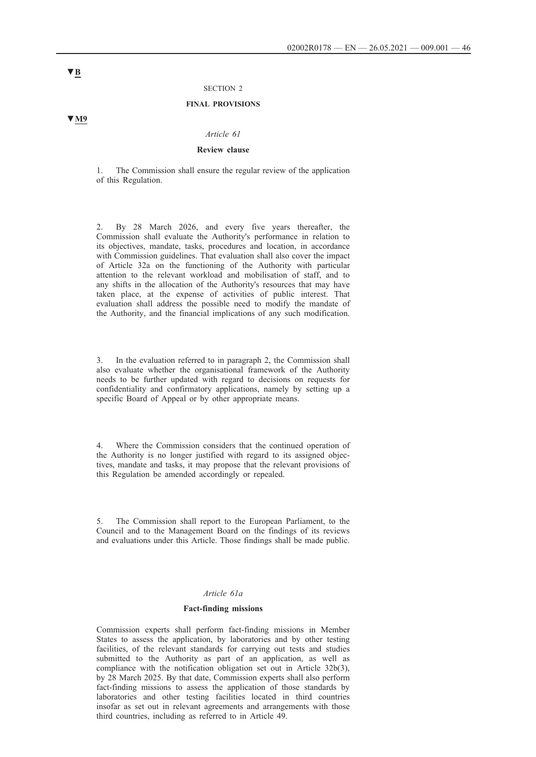### SECTION 2

### **FINAL PROVISIONS**

### *Article 61*

## **Review clause**

1. The Commission shall ensure the regular review of the application of this Regulation.

2. By 28 March 2026, and every five years thereafter, the Commission shall evaluate the Authority's performance in relation to its objectives, mandate, tasks, procedures and location, in accordance with Commission guidelines. That evaluation shall also cover the impact of Article 32a on the functioning of the Authority with particular attention to the relevant workload and mobilisation of staff, and to any shifts in the allocation of the Authority's resources that may have taken place, at the expense of activities of public interest. That evaluation shall address the possible need to modify the mandate of the Authority, and the financial implications of any such modification.

3. In the evaluation referred to in paragraph 2, the Commission shall also evaluate whether the organisational framework of the Authority needs to be further updated with regard to decisions on requests for confidentiality and confirmatory applications, namely by setting up a specific Board of Appeal or by other appropriate means.

4. Where the Commission considers that the continued operation of the Authority is no longer justified with regard to its assigned objectives, mandate and tasks, it may propose that the relevant provisions of this Regulation be amended accordingly or repealed.

5. The Commission shall report to the European Parliament, to the Council and to the Management Board on the findings of its reviews and evaluations under this Article. Those findings shall be made public.

## *Article 61a*

### **Fact-finding missions**

Commission experts shall perform fact-finding missions in Member States to assess the application, by laboratories and by other testing facilities, of the relevant standards for carrying out tests and studies submitted to the Authority as part of an application, as well as compliance with the notification obligation set out in Article 32b(3), by 28 March 2025. By that date, Commission experts shall also perform fact-finding missions to assess the application of those standards by laboratories and other testing facilities located in third countries insofar as set out in relevant agreements and arrangements with those third countries, including as referred to in Article 49.

# **▼B**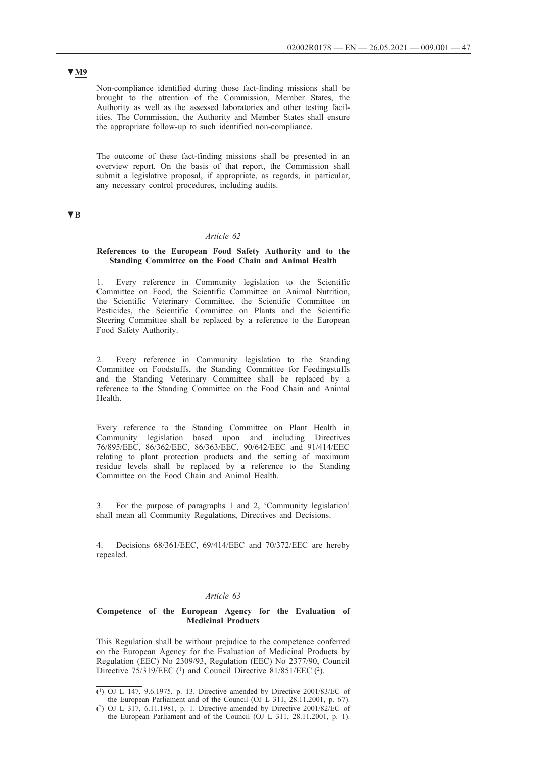Non-compliance identified during those fact-finding missions shall be brought to the attention of the Commission, Member States, the Authority as well as the assessed laboratories and other testing facilities. The Commission, the Authority and Member States shall ensure the appropriate follow-up to such identified non-compliance.

The outcome of these fact-finding missions shall be presented in an overview report. On the basis of that report, the Commission shall submit a legislative proposal, if appropriate, as regards, in particular, any necessary control procedures, including audits.

# **▼B**

### *Article 62*

### **References to the European Food Safety Authority and to the Standing Committee on the Food Chain and Animal Health**

Every reference in Community legislation to the Scientific Committee on Food, the Scientific Committee on Animal Nutrition, the Scientific Veterinary Committee, the Scientific Committee on Pesticides, the Scientific Committee on Plants and the Scientific Steering Committee shall be replaced by a reference to the European Food Safety Authority.

2. Every reference in Community legislation to the Standing Committee on Foodstuffs, the Standing Committee for Feedingstuffs and the Standing Veterinary Committee shall be replaced by a reference to the Standing Committee on the Food Chain and Animal Health.

Every reference to the Standing Committee on Plant Health in Community legislation based upon and including Directives 76/895/EEC, 86/362/EEC, 86/363/EEC, 90/642/EEC and 91/414/EEC relating to plant protection products and the setting of maximum residue levels shall be replaced by a reference to the Standing Committee on the Food Chain and Animal Health.

3. For the purpose of paragraphs 1 and 2, 'Community legislation' shall mean all Community Regulations, Directives and Decisions.

4. Decisions 68/361/EEC, 69/414/EEC and 70/372/EEC are hereby repealed.

## *Article 63*

### **Competence of the European Agency for the Evaluation of Medicinal Products**

This Regulation shall be without prejudice to the competence conferred on the European Agency for the Evaluation of Medicinal Products by Regulation (EEC) No 2309/93, Regulation (EEC) No 2377/90, Council Directive 75/319/EEC (1) and Council Directive 81/851/EEC (2).

<sup>(1)</sup> OJ L 147, 9.6.1975, p. 13. Directive amended by Directive 2001/83/EC of the European Parliament and of the Council (OJ L 311, 28.11.2001, p. 67).

<sup>(2)</sup> OJ L 317, 6.11.1981, p. 1. Directive amended by Directive 2001/82/EC of the European Parliament and of the Council (OJ L 311, 28.11.2001, p. 1).